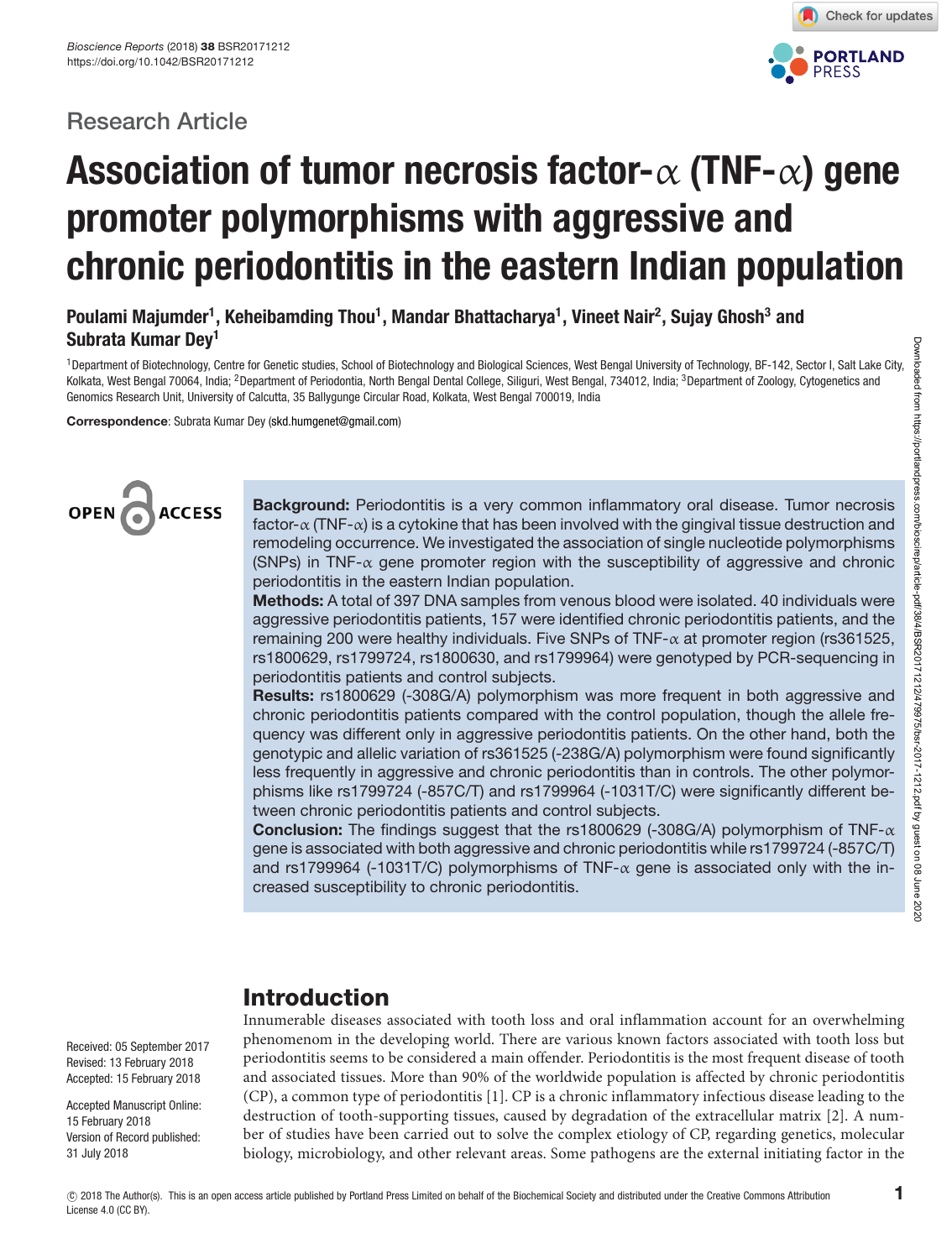# **Research Article**



# **Association of tumor necrosis factor-**α **(TNF-**α**) gene promoter polymorphisms with aggressive and chronic periodontitis in the eastern Indian population**

# **Poulami Majumder1 , Keheibamding Thou1 , Mandar Bhattacharya1 , Vineet Nair2 , Sujay Ghosh3 and Subrata Kumar Dey1**

<sup>1</sup> Department of Biotechnology, Centre for Genetic studies, School of Biotechnology and Biological Sciences, West Bengal University of Technology, BF-142, Sector I, Salt Lake City, Kolkata, West Bengal 70064, India; <sup>2</sup>Department of Periodontia, North Bengal Dental College, Siliguri, West Bengal, 734012, India; <sup>3</sup>Department of Zoology, Cytogenetics and Genomics Research Unit, University of Calcutta, 35 Ballygunge Circular Road, Kolkata, West Bengal 700019, India

**Correspondence**: Subrata Kumar Dey [\(skd.humgenet@gmail.com\)](mailto:skd.humgenet@gmail.com)



**Background:** Periodontitis is a very common inflammatory oral disease. Tumor necrosis factor- $\alpha$  (TNF- $\alpha$ ) is a cytokine that has been involved with the gingival tissue destruction and remodeling occurrence. We investigated the association of single nucleotide polymorphisms (SNPs) in TNF- $\alpha$  gene promoter region with the susceptibility of aggressive and chronic periodontitis in the eastern Indian population.

**Methods:** A total of 397 DNA samples from venous blood were isolated. 40 individuals were aggressive periodontitis patients, 157 were identified chronic periodontitis patients, and the remaining 200 were healthy individuals. Five SNPs of TNF- $\alpha$  at promoter region (rs361525, rs1800629, rs1799724, rs1800630, and rs1799964) were genotyped by PCR-sequencing in periodontitis patients and control subjects.

**Results:** rs1800629 (-308G/A) polymorphism was more frequent in both aggressive and chronic periodontitis patients compared with the control population, though the allele frequency was different only in aggressive periodontitis patients. On the other hand, both the genotypic and allelic variation of rs361525 (-238G/A) polymorphism were found significantly less frequently in aggressive and chronic periodontitis than in controls. The other polymorphisms like rs1799724 (-857C/T) and rs1799964 (-1031T/C) were significantly different between chronic periodontitis patients and control subjects.

**Conclusion:** The findings suggest that the rs1800629 (-308G/A) polymorphism of TNF-α gene is associated with both aggressive and chronic periodontitis while rs1799724 (-857C/T) and rs1799964 (-1031T/C) polymorphisms of TNF- $\alpha$  gene is associated only with the increased susceptibility to chronic periodontitis.

# **Introduction**

Innumerable diseases associated with tooth loss and oral inflammation account for an overwhelming phenomenom in the developing world. There are various known factors associated with tooth loss but periodontitis seems to be considered a main offender. Periodontitis is the most frequent disease of tooth and associated tissues. More than 90% of the worldwide population is affected by chronic periodontitis (CP), a common type of periodontitis [\[1\]](#page-12-0). CP is a chronic inflammatory infectious disease leading to the destruction of tooth-supporting tissues, caused by degradation of the extracellular matrix [\[2\]](#page-12-1). A number of studies have been carried out to solve the complex etiology of CP, regarding genetics, molecular biology, microbiology, and other relevant areas. Some pathogens are the external initiating factor in the

Received: 05 September 2017 Revised: 13 February 2018 Accepted: 15 February 2018

Accepted Manuscript Online: 15 February 2018 Version of Record published: 31 July 2018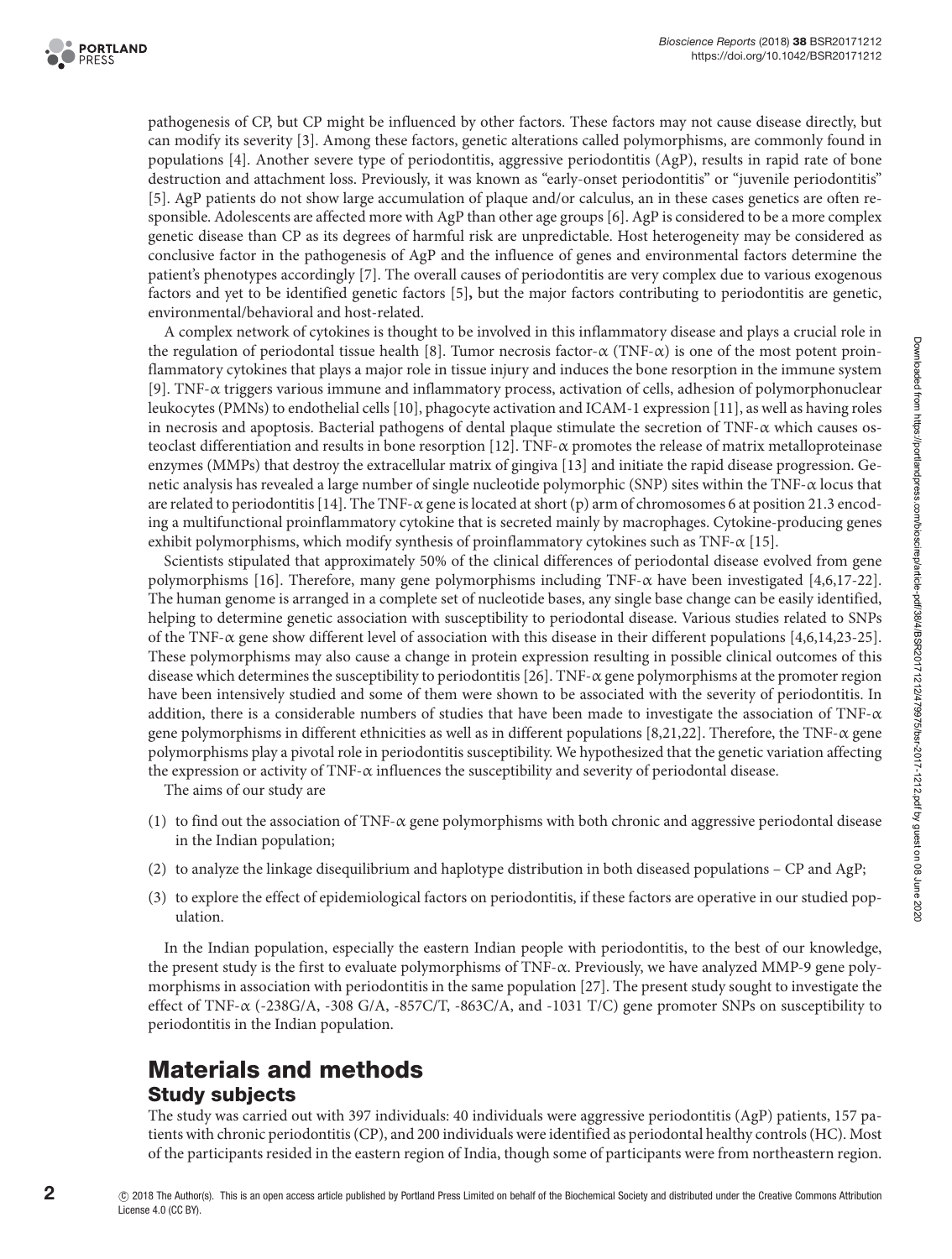

pathogenesis of CP, but CP might be influenced by other factors. These factors may not cause disease directly, but can modify its severity [\[3\]](#page-12-2). Among these factors, genetic alterations called polymorphisms, are commonly found in populations [\[4\]](#page-12-3). Another severe type of periodontitis, aggressive periodontitis (AgP), results in rapid rate of bone destruction and attachment loss. Previously, it was known as "early-onset periodontitis" or "juvenile periodontitis" [\[5\]](#page-12-4). AgP patients do not show large accumulation of plaque and/or calculus, an in these cases genetics are often responsible. Adolescents are affected more with AgP than other age groups [\[6\]](#page-12-5). AgP is considered to be a more complex genetic disease than CP as its degrees of harmful risk are unpredictable. Host heterogeneity may be considered as conclusive factor in the pathogenesis of AgP and the influence of genes and environmental factors determine the patient's phenotypes accordingly [\[7\]](#page-12-6). The overall causes of periodontitis are very complex due to various exogenous factors and yet to be identified genetic factors [\[5\]](#page-12-4)**,** but the major factors contributing to periodontitis are genetic, environmental/behavioral and host-related.

A complex network of cytokines is thought to be involved in this inflammatory disease and plays a crucial role in the regulation of periodontal tissue health [\[8\]](#page-12-7). Tumor necrosis factor- $\alpha$  (TNF- $\alpha$ ) is one of the most potent proinflammatory cytokines that plays a major role in tissue injury and induces the bone resorption in the immune system [\[9\]](#page-12-8). TNF-α triggers various immune and inflammatory process, activation of cells, adhesion of polymorphonuclear leukocytes (PMNs) to endothelial cells [\[10\]](#page-12-9), phagocyte activation and ICAM-1 expression [\[11\]](#page-12-10), as well as having roles in necrosis and apoptosis. Bacterial pathogens of dental plaque stimulate the secretion of TNF- $\alpha$  which causes os-teoclast differentiation and results in bone resorption [\[12\]](#page-12-11). TNF- $\alpha$  promotes the release of matrix metalloproteinase enzymes (MMPs) that destroy the extracellular matrix of gingiva [\[13\]](#page-12-12) and initiate the rapid disease progression. Genetic analysis has revealed a large number of single nucleotide polymorphic (SNP) sites within the TNF-α locus that are related to periodontitis [\[14\]](#page-12-13). The TNF- $\alpha$  gene is located at short (p) arm of chromosomes 6 at position 21.3 encoding a multifunctional proinflammatory cytokine that is secreted mainly by macrophages. Cytokine-producing genes exhibit polymorphisms, which modify synthesis of proinflammatory cytokines such as TNF-α [\[15\]](#page-12-14).

Scientists stipulated that approximately 50% of the clinical differences of periodontal disease evolved from gene polymorphisms [\[16\]](#page-12-15). Therefore, many gene polymorphisms including TNF- $\alpha$  have been investigated [\[4](#page-12-3)[,6](#page-12-5)[,17-22\]](#page-12-16). The human genome is arranged in a complete set of nucleotide bases, any single base change can be easily identified, helping to determine genetic association with susceptibility to periodontal disease. Various studies related to SNPs of the TNF- $\alpha$  gene show different level of association with this disease in their different populations [\[4,](#page-12-3)[6](#page-12-5)[,14](#page-12-13)[,23-25\]](#page-13-0). These polymorphisms may also cause a change in protein expression resulting in possible clinical outcomes of this disease which determines the susceptibility to periodontitis [\[26\]](#page-13-1). TNF- $\alpha$  gene polymorphisms at the promoter region have been intensively studied and some of them were shown to be associated with the severity of periodontitis. In addition, there is a considerable numbers of studies that have been made to investigate the association of TNF- $\alpha$ gene polymorphisms in different ethnicities as well as in different populations [\[8,](#page-12-7)[21](#page-12-17)[,22\]](#page-12-18). Therefore, the TNF-α gene polymorphisms play a pivotal role in periodontitis susceptibility. We hypothesized that the genetic variation affecting the expression or activity of TNF- $\alpha$  influences the susceptibility and severity of periodontal disease.

The aims of our study are

- (1) to find out the association of TNF-α gene polymorphisms with both chronic and aggressive periodontal disease in the Indian population;
- (2) to analyze the linkage disequilibrium and haplotype distribution in both diseased populations CP and AgP;
- (3) to explore the effect of epidemiological factors on periodontitis, if these factors are operative in our studied population.

In the Indian population, especially the eastern Indian people with periodontitis, to the best of our knowledge, the present study is the first to evaluate polymorphisms of TNF-α. Previously, we have analyzed MMP-9 gene polymorphisms in association with periodontitis in the same population [\[27\]](#page-13-2). The present study sought to investigate the effect of TNF- $\alpha$  (-238G/A, -308 G/A, -857C/T, -863C/A, and -1031 T/C) gene promoter SNPs on susceptibility to periodontitis in the Indian population.

# **Materials and methods Study subjects**

The study was carried out with 397 individuals: 40 individuals were aggressive periodontitis (AgP) patients, 157 patients with chronic periodontitis (CP), and 200 individuals were identified as periodontal healthy controls (HC). Most of the participants resided in the eastern region of India, though some of participants were from northeastern region.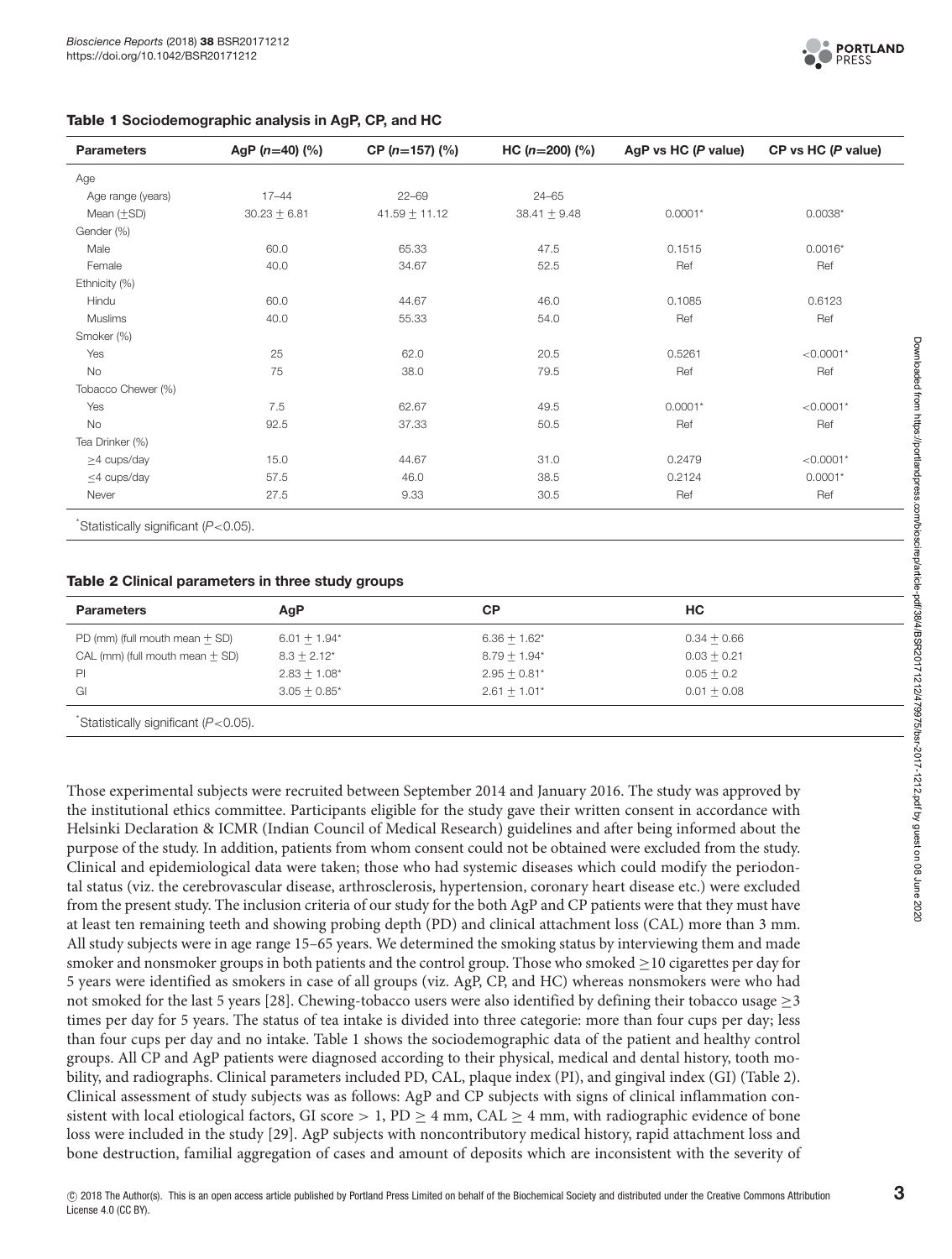#### <span id="page-2-0"></span>**Table 1 Sociodemographic analysis in AgP, CP, and HC**

| <b>Parameters</b>   | AgP $(n=40)$ $(\%)$ | CP $(n=157)$ $(\%)$ | $HC (n=200)$ (%) | AgP vs HC (P value) | CP vs HC (P value) |
|---------------------|---------------------|---------------------|------------------|---------------------|--------------------|
| Age                 |                     |                     |                  |                     |                    |
| Age range (years)   | $17 - 44$           | $22 - 69$           | $24 - 65$        |                     |                    |
| Mean $(+\text{SD})$ | $30.23 + 6.81$      | $41.59 + 11.12$     | $38.41 + 9.48$   | $0.0001*$           | $0.0038*$          |
| Gender (%)          |                     |                     |                  |                     |                    |
| Male                | 60.0                | 65.33               | 47.5             | 0.1515              | $0.0016*$          |
| Female              | 40.0                | 34.67               | 52.5             | Ref                 | Ref                |
| Ethnicity (%)       |                     |                     |                  |                     |                    |
| Hindu               | 60.0                | 44.67               | 46.0             | 0.1085              | 0.6123             |
| Muslims             | 40.0                | 55.33               | 54.0             | Ref                 | Ref                |
| Smoker (%)          |                     |                     |                  |                     |                    |
| Yes                 | 25                  | 62.0                | 20.5             | 0.5261              | ${<}0.0001*$       |
| No                  | 75                  | 38.0                | 79.5             | Ref                 | Ref                |
| Tobacco Chewer (%)  |                     |                     |                  |                     |                    |
| Yes                 | 7.5                 | 62.67               | 49.5             | $0.0001*$           | $< 0.0001*$        |
| No                  | 92.5                | 37.33               | 50.5             | Ref                 | Ref                |
| Tea Drinker (%)     |                     |                     |                  |                     |                    |
| $\geq$ 4 cups/day   | 15.0                | 44.67               | 31.0             | 0.2479              | $< 0.0001*$        |
| $\leq$ 4 cups/day   | 57.5                | 46.0                | 38.5             | 0.2124              | $0.0001*$          |
| Never               | 27.5                | 9.33                | 30.5             | Ref                 | Ref                |

#### <span id="page-2-1"></span>**Table 2 Clinical parameters in three study groups**

| <b>Parameters</b>                 | AgP            | СP             | HC.           |
|-----------------------------------|----------------|----------------|---------------|
| PD (mm) (full mouth mean $+$ SD)  | $6.01 + 1.94*$ | $6.36 + 1.62*$ | $0.34 + 0.66$ |
| CAL (mm) (full mouth mean $+$ SD) | $8.3 + 2.12^*$ | $8.79 + 1.94*$ | $0.03 + 0.21$ |
| PI                                | $2.83 + 1.08*$ | $2.95 + 0.81*$ | $0.05 + 0.2$  |
| GI                                | $3.05 + 0.85*$ | $2.61 + 1.01*$ | $0.01 + 0.08$ |
|                                   |                |                |               |

\* Statistically significant (P<0.05).

Those experimental subjects were recruited between September 2014 and January 2016. The study was approved by the institutional ethics committee. Participants eligible for the study gave their written consent in accordance with Helsinki Declaration & ICMR (Indian Council of Medical Research) guidelines and after being informed about the purpose of the study. In addition, patients from whom consent could not be obtained were excluded from the study. Clinical and epidemiological data were taken; those who had systemic diseases which could modify the periodontal status (viz. the cerebrovascular disease, arthrosclerosis, hypertension, coronary heart disease etc.) were excluded from the present study. The inclusion criteria of our study for the both AgP and CP patients were that they must have at least ten remaining teeth and showing probing depth (PD) and clinical attachment loss (CAL) more than 3 mm. All study subjects were in age range 15–65 years. We determined the smoking status by interviewing them and made smoker and nonsmoker groups in both patients and the control group. Those who smoked ≥10 cigarettes per day for 5 years were identified as smokers in case of all groups (viz. AgP, CP, and HC) whereas nonsmokers were who had not smoked for the last 5 years [\[28\]](#page-13-3). Chewing-tobacco users were also identified by defining their tobacco usage ≥3 times per day for 5 years. The status of tea intake is divided into three categorie: more than four cups per day; less than four cups per day and no intake. [Table](#page-2-0) 1 shows the sociodemographic data of the patient and healthy control groups. All CP and AgP patients were diagnosed according to their physical, medical and dental history, tooth mobility, and radiographs. Clinical parameters included PD, CAL, plaque index (PI), and gingival index (GI) [\(Table 2\)](#page-2-1). Clinical assessment of study subjects was as follows: AgP and CP subjects with signs of clinical inflammation consistent with local etiological factors, GI score  $> 1$ , PD  $\geq 4$  mm, CAL  $\geq 4$  mm, with radiographic evidence of bone loss were included in the study [\[29\]](#page-13-4). AgP subjects with noncontributory medical history, rapid attachment loss and bone destruction, familial aggregation of cases and amount of deposits which are inconsistent with the severity of

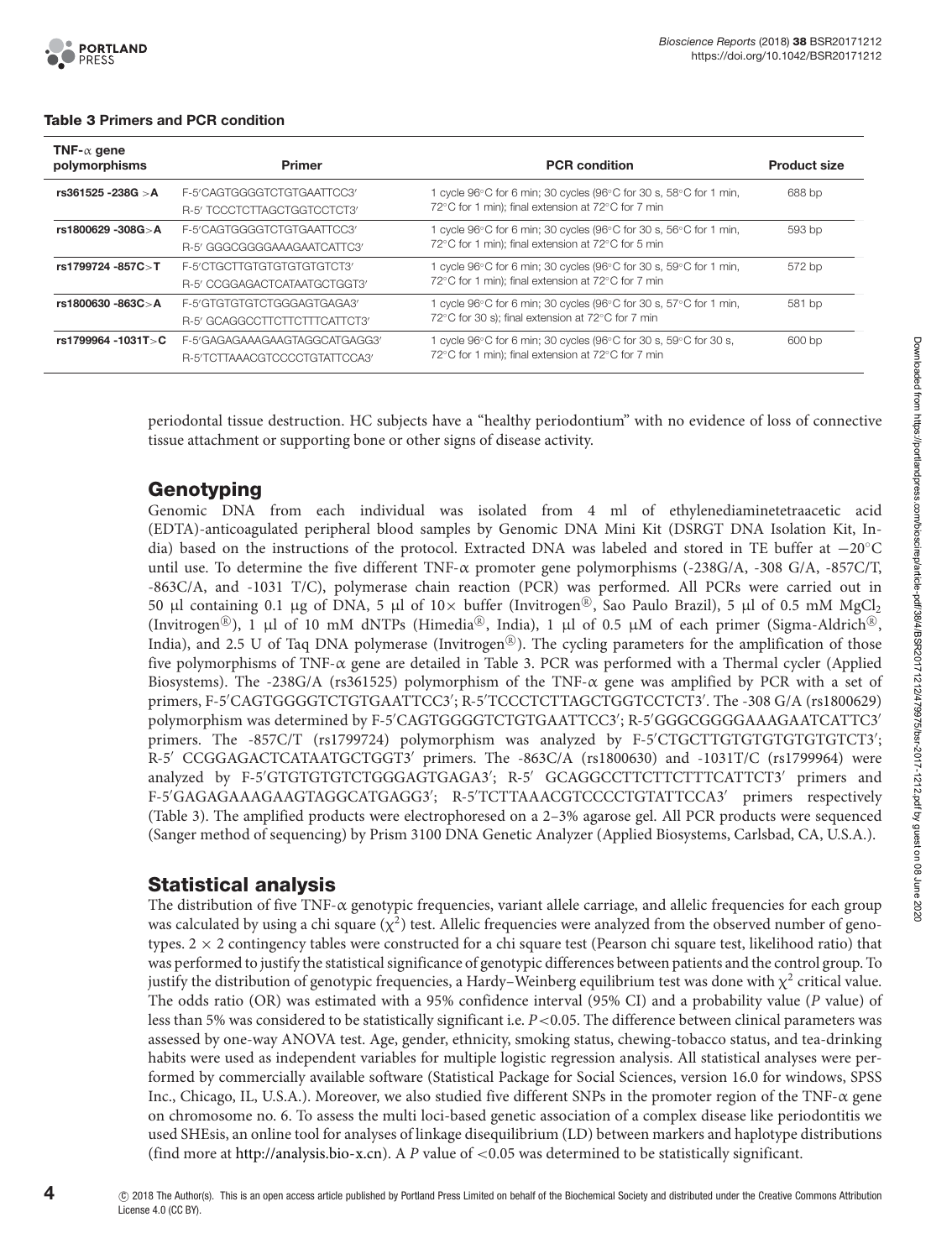

| TNF- $\alpha$ gene<br>polymorphisms | <b>Primer</b>                 | <b>PCR</b> condition                                                                             | <b>Product size</b> |  |
|-------------------------------------|-------------------------------|--------------------------------------------------------------------------------------------------|---------------------|--|
| rs361525 -238G > A                  | F-5'CAGTGGGGTCTGTGAATTCC3'    | 1 cycle $96^{\circ}$ C for 6 min; 30 cycles ( $96^{\circ}$ C for 30 s, $58^{\circ}$ C for 1 min, | 688 bp              |  |
|                                     | R-5' TCCCTCTTAGCTGGTCCTCT3'   | 72°C for 1 min); final extension at 72°C for 7 min                                               |                     |  |
| rs1800629 -308G>A                   | F-5'CAGTGGGGTCTGTGAATTCC3'    | 1 cycle 96°C for 6 min; 30 cycles (96°C for 30 s, 56°C for 1 min,                                | 593 bp              |  |
|                                     | R-5' GGGCGGGGAAAGAATCATTC3'   | 72°C for 1 min); final extension at 72°C for 5 min                                               |                     |  |
| rs1799724 -857C>T                   | F-5'CTGCTTGTGTGTGTGTGTCT3'    | 1 cycle 96°C for 6 min; 30 cycles (96°C for 30 s, 59°C for 1 min,                                | 572 bp              |  |
|                                     | R-5' CCGGAGACTCATAATGCTGGT3'  | 72°C for 1 min); final extension at 72°C for 7 min                                               |                     |  |
| rs1800630 -863C > A                 | F-5'GTGTGTGTCTGGGAGTGAGA3'    | 1 cycle $96^{\circ}$ C for 6 min; 30 cycles ( $96^{\circ}$ C for 30 s, $57^{\circ}$ C for 1 min, | 581 bp              |  |
|                                     | R-5' GCAGGCCTTCTTCTTTCATTCT3' | 72°C for 30 s); final extension at 72°C for 7 min                                                |                     |  |
| rs1799964 -1031T>C                  | F-5'GAGAGAAAGAAGTAGGCATGAGG3' | 1 cycle $96^{\circ}$ C for 6 min; 30 cycles ( $96^{\circ}$ C for 30 s, $59^{\circ}$ C for 30 s,  | 600 bp              |  |
|                                     | R-5'TCTTAAACGTCCCCTGTATTCCA3' | 72°C for 1 min); final extension at 72°C for 7 min                                               |                     |  |

#### <span id="page-3-0"></span>**Table 3 Primers and PCR condition**

periodontal tissue destruction. HC subjects have a "healthy periodontium" with no evidence of loss of connective tissue attachment or supporting bone or other signs of disease activity.

# **Genotyping**

Genomic DNA from each individual was isolated from 4 ml of ethylenediaminetetraacetic acid (EDTA)-anticoagulated peripheral blood samples by Genomic DNA Mini Kit (DSRGT DNA Isolation Kit, India) based on the instructions of the protocol. Extracted DNA was labeled and stored in TE buffer at −20◦C until use. To determine the five different TNF-α promoter gene polymorphisms (-238G/A, -308 G/A, -857C/T, -863C/A, and -1031 T/C), polymerase chain reaction (PCR) was performed. All PCRs were carried out in 50 μl containing 0.1 μg of DNA, 5 μl of  $10 \times$  buffer (Invitrogen<sup>®</sup>, Sao Paulo Brazil), 5 μl of 0.5 mM MgCl<sub>2</sub> (Invitrogen<sup>®</sup>), 1  $\mu$ l of 10 mM dNTPs (Himedia®, India), 1  $\mu$ l of 0.5  $\mu$ M of each primer (Sigma-Aldrich®, India), and 2.5 U of Taq DNA polymerase (Invitrogen<sup>®</sup>). The cycling parameters for the amplification of those five polymorphisms of TNF-α gene are detailed in [Table 3.](#page-3-0) PCR was performed with a Thermal cycler (Applied Biosystems). The -238G/A (rs361525) polymorphism of the TNF-α gene was amplified by PCR with a set of primers, F-5 CAGTGGGGTCTGTGAATTCC3 ; R-5 TCCCTCTTAGCTGGTCCTCT3 . The -308 G/A (rs1800629) polymorphism was determined by F-5 CAGTGGGGTCTGTGAATTCC3 ; R-5 GGGCGGGGAAAGAATCATTC3 primers. The -857C/T (rs1799724) polymorphism was analyzed by F-5 CTGCTTGTGTGTGTGTGTCT3 ; R-5' CCGGAGACTCATAATGCTGGT3' primers. The -863C/A (rs1800630) and -1031T/C (rs1799964) were analyzed by F-5 GTGTGTGTCTGGGAGTGAGA3 ; R-5 GCAGGCCTTCTTCTTTCATTCT3 primers and F-5 GAGAGAAAGAAGTAGGCATGAGG3 ; R-5 TCTTAAACGTCCCCTGTATTCCA3 primers respectively [\(Table 3\)](#page-3-0). The amplified products were electrophoresed on a 2–3% agarose gel. All PCR products were sequenced (Sanger method of sequencing) by Prism 3100 DNA Genetic Analyzer (Applied Biosystems, Carlsbad, CA, U.S.A.).

# **Statistical analysis**

The distribution of five TNF- $\alpha$  genotypic frequencies, variant allele carriage, and allelic frequencies for each group was calculated by using a chi square  $(\chi^2)$  test. Allelic frequencies were analyzed from the observed number of genotypes.  $2 \times 2$  contingency tables were constructed for a chi square test (Pearson chi square test, likelihood ratio) that was performed to justify the statistical significance of genotypic differences between patients and the control group. To justify the distribution of genotypic frequencies, a Hardy–Weinberg equilibrium test was done with  $\chi^2$  critical value. The odds ratio (OR) was estimated with a 95% confidence interval (95% CI) and a probability value (*P* value) of less than 5% was considered to be statistically significant i.e. *P*<0.05. The difference between clinical parameters was assessed by one-way ANOVA test. Age, gender, ethnicity, smoking status, chewing-tobacco status, and tea-drinking habits were used as independent variables for multiple logistic regression analysis. All statistical analyses were performed by commercially available software (Statistical Package for Social Sciences, version 16.0 for windows, SPSS Inc., Chicago, IL, U.S.A.). Moreover, we also studied five different SNPs in the promoter region of the TNF-α gene on chromosome no. 6. To assess the multi loci-based genetic association of a complex disease like periodontitis we used SHEsis, an online tool for analyses of linkage disequilibrium (LD) between markers and haplotype distributions (find more at [http://analysis.bio-x.cn\)](http://analysis.bio-x.cn). A *P* value of <0.05 was determined to be statistically significant.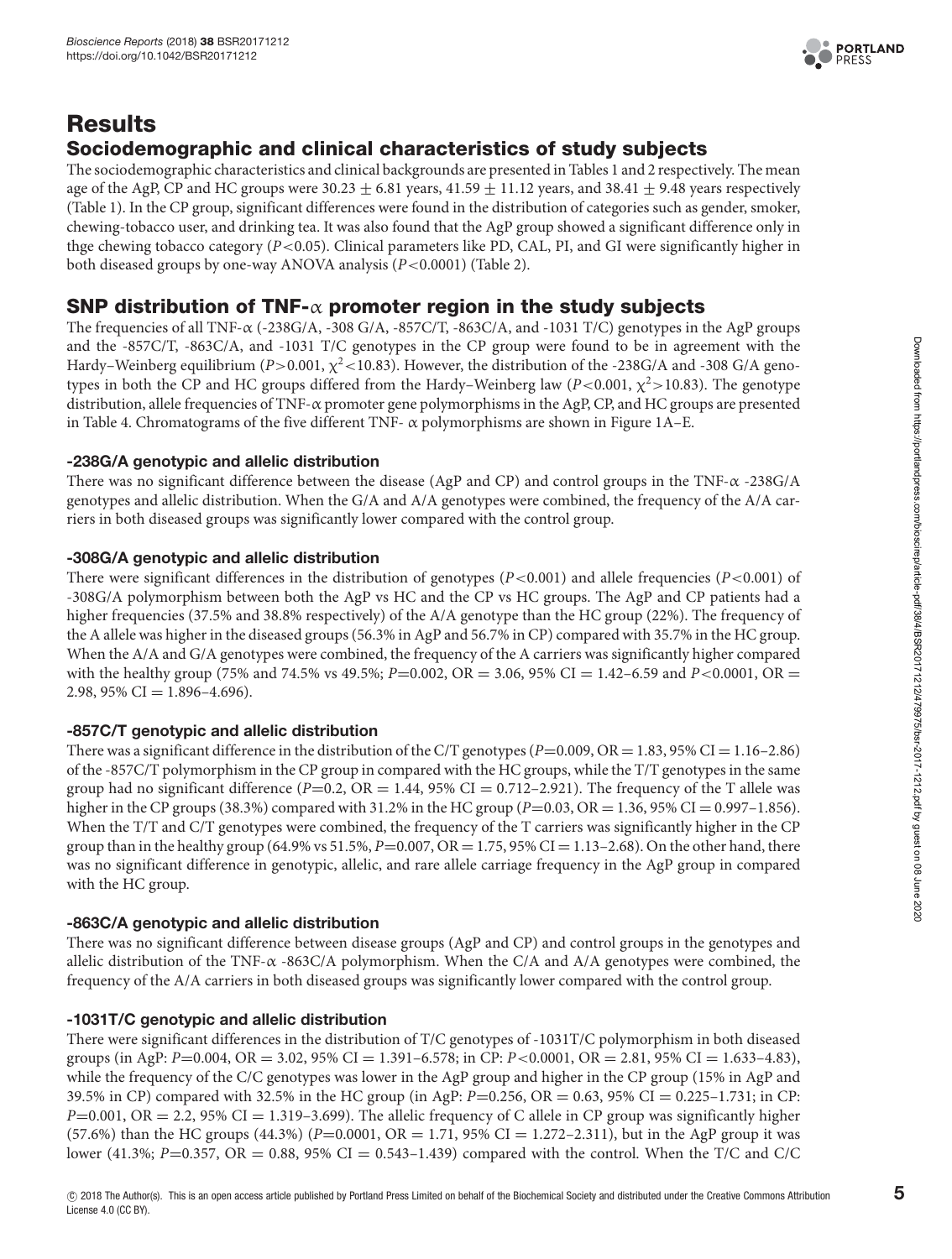

# **Results Sociodemographic and clinical characteristics of study subjects**

The sociodemographic characteristics and clinical backgrounds are presented in [Tables](#page-2-0) 1 and [2](#page-2-1) respectively. The mean age of the AgP, CP and HC groups were 30.23  $\pm$  6.81 years, 41.59  $\pm$  11.12 years, and 38.41  $\pm$  9.48 years respectively [\(Table](#page-2-0) 1). In the CP group, significant differences were found in the distribution of categories such as gender, smoker, chewing-tobacco user, and drinking tea. It was also found that the AgP group showed a significant difference only in thge chewing tobacco category (*P*<0.05). Clinical parameters like PD, CAL, PI, and GI were significantly higher in both diseased groups by one-way ANOVA analysis (*P*<0.0001) [\(Table 2\)](#page-2-1).

# **SNP distribution of TNF-**α **promoter region in the study subjects**

The frequencies of all TNF-α (-238G/A, -308 G/A, -857C/T, -863C/A, and -1031 T/C) genotypes in the AgP groups and the -857C/T, -863C/A, and -1031 T/C genotypes in the CP group were found to be in agreement with the Hardy–Weinberg equilibrium ( $P > 0.001$ ,  $\chi^2$  < 10.83). However, the distribution of the -238G/A and -308 G/A genotypes in both the CP and HC groups differed from the Hardy–Weinberg law  $(P<0.001, \chi^2>10.83)$ . The genotype distribution, allele frequencies of TNF-α promoter gene polymorphisms in the AgP, CP, and HC groups are presented in [Table](#page-6-0) 4. Chromatograms of the five different TNF- $\alpha$  polymorphisms are shown in [Figure](#page-5-0) 1A–E.

## **-238G/A genotypic and allelic distribution**

There was no significant difference between the disease (AgP and CP) and control groups in the TNF-α -238G/A genotypes and allelic distribution. When the G/A and A/A genotypes were combined, the frequency of the A/A carriers in both diseased groups was significantly lower compared with the control group.

## **-308G/A genotypic and allelic distribution**

There were significant differences in the distribution of genotypes  $(P<0.001)$  and allele frequencies  $(P<0.001)$  of -308G/A polymorphism between both the AgP vs HC and the CP vs HC groups. The AgP and CP patients had a higher frequencies (37.5% and 38.8% respectively) of the A/A genotype than the HC group (22%). The frequency of the A allele was higher in the diseased groups (56.3% in AgP and 56.7% in CP) compared with 35.7% in the HC group. When the A/A and G/A genotypes were combined, the frequency of the A carriers was significantly higher compared with the healthy group (75% and 74.5% vs 49.5%; *P*=0.002, OR = 3.06, 95% CI = 1.42–6.59 and *P*<0.0001, OR = 2.98, 95% CI =  $1.896 - 4.696$ .

## **-857C/T genotypic and allelic distribution**

There was a significant difference in the distribution of the C/T genotypes  $(P=0.009, OR = 1.83, 95\% \text{ CI} = 1.16-2.86)$ of the -857C/T polymorphism in the CP group in compared with the HC groups, while the T/T genotypes in the same group had no significant difference  $(P=0.2, \text{ OR } = 1.44, 95\% \text{ CI } = 0.712 - 2.921$ ). The frequency of the T allele was higher in the CP groups (38.3%) compared with 31.2% in the HC group (*P*=0.03, OR = 1.36, 95% CI = 0.997-1.856). When the T/T and C/T genotypes were combined, the frequency of the T carriers was significantly higher in the CP group than in the healthy group (64.9% vs 51.5%,  $P=0.007$ ,  $OR = 1.75$ , 95%  $CI = 1.13-2.68$ ). On the other hand, there was no significant difference in genotypic, allelic, and rare allele carriage frequency in the AgP group in compared with the HC group.

## **-863C/A genotypic and allelic distribution**

There was no significant difference between disease groups (AgP and CP) and control groups in the genotypes and allelic distribution of the TNF- $\alpha$  -863C/A polymorphism. When the C/A and A/A genotypes were combined, the frequency of the A/A carriers in both diseased groups was significantly lower compared with the control group.

## **-1031T/C genotypic and allelic distribution**

There were significant differences in the distribution of T/C genotypes of -1031T/C polymorphism in both diseased groups (in AgP: *P*=0.004, OR = 3.02, 95% CI = 1.391–6.578; in CP: *P*<0.0001, OR = 2.81, 95% CI = 1.633–4.83), while the frequency of the C/C genotypes was lower in the AgP group and higher in the CP group (15% in AgP and 39.5% in CP) compared with 32.5% in the HC group (in AgP: *P*=0.256, OR = 0.63, 95% CI = 0.225–1.731; in CP:  $P=0.001$ , OR  $= 2.2$ , 95% CI  $= 1.319-3.699$ . The allelic frequency of C allele in CP group was significantly higher  $(57.6%)$  than the HC groups  $(44.3%)$   $(P=0.0001, OR = 1.71, 95%$  CI = 1.272-2.311), but in the AgP group it was lower (41.3%; *P*=0.357, OR = 0.88, 95% CI = 0.543–1.439) compared with the control. When the T/C and C/C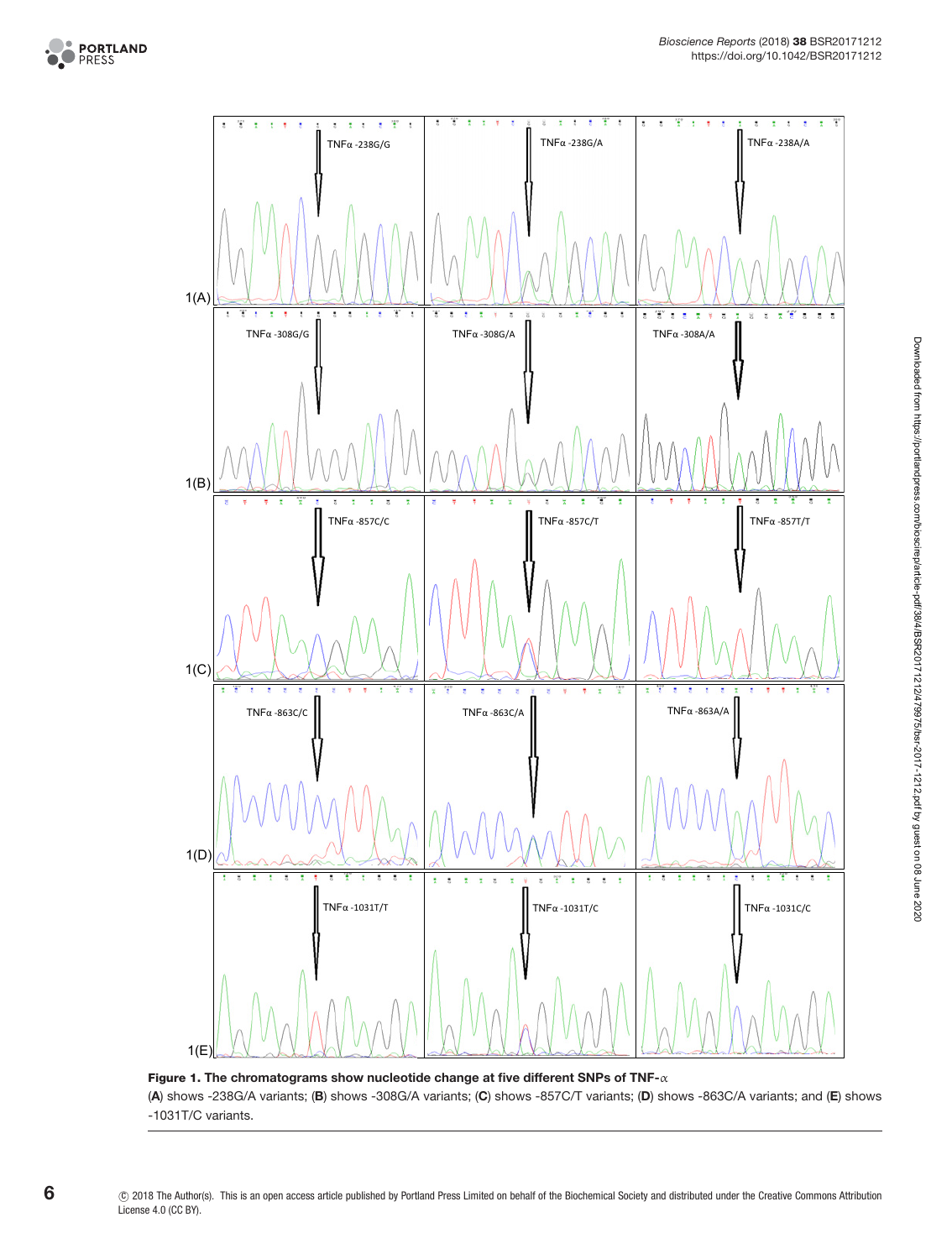



<span id="page-5-0"></span>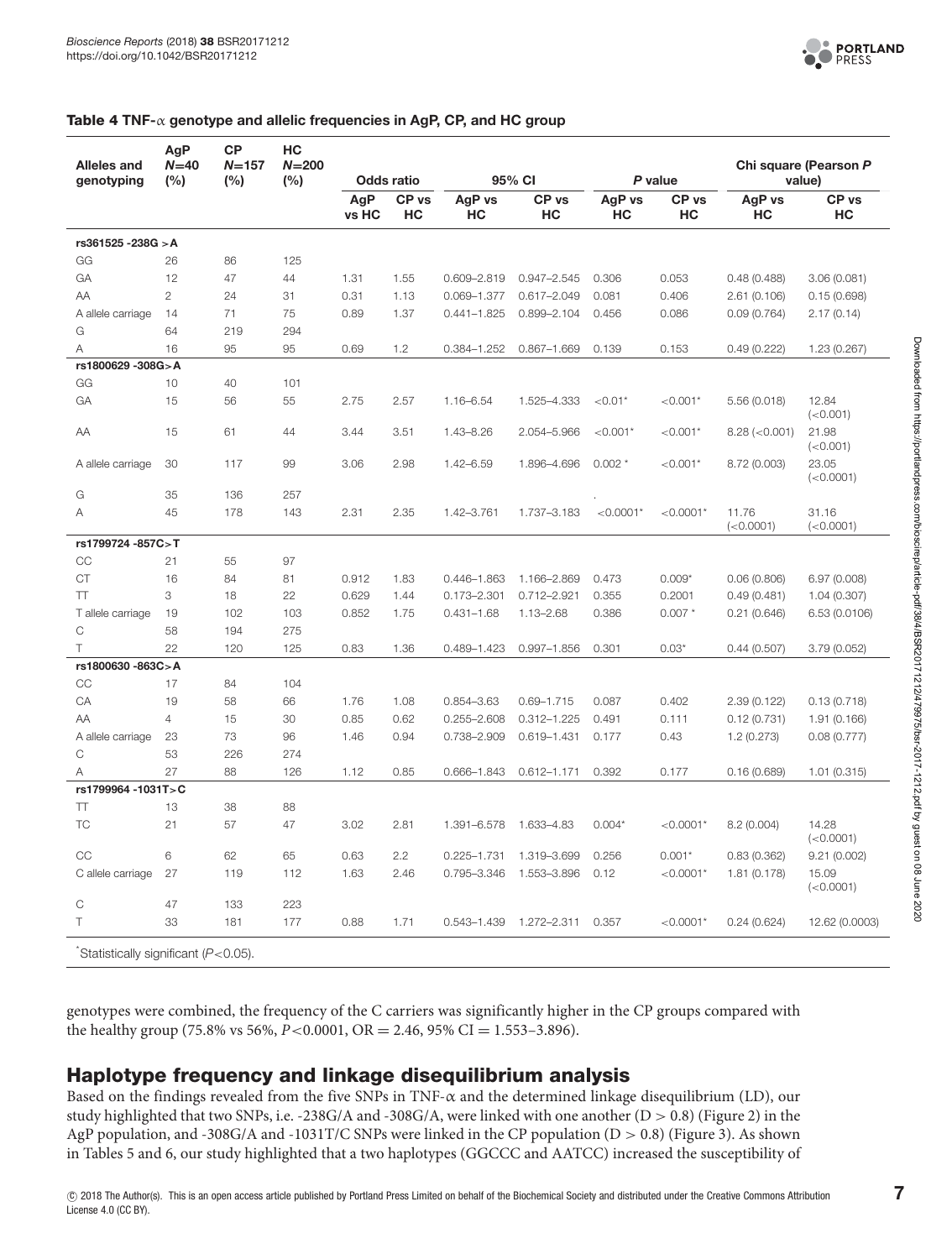

#### <span id="page-6-0"></span>**Table 4 TNF-**α **genotype and allelic frequencies in AgP, CP, and HC group**

| <b>Alleles and</b><br>genotyping    | AgP<br>$N=40$<br>(%) | <b>CP</b><br>$N = 157$<br>(%) | HC<br>$N = 200$<br>(%) |              | <b>Odds ratio</b>      |                 | 95% CI                 |              | P value                |                     | Chi square (Pearson P<br>value) |
|-------------------------------------|----------------------|-------------------------------|------------------------|--------------|------------------------|-----------------|------------------------|--------------|------------------------|---------------------|---------------------------------|
|                                     |                      |                               |                        |              |                        |                 |                        |              |                        |                     |                                 |
|                                     |                      |                               |                        | AgP<br>vs HC | CP <sub>vs</sub><br>HC | AgP vs<br>HC    | CP <sub>vs</sub><br>НC | AgP vs<br>HC | CP <sub>vs</sub><br>HC | AgP vs<br>HC        | CP <sub>vs</sub><br>HС          |
| rs361525 - 238G > A                 |                      |                               |                        |              |                        |                 |                        |              |                        |                     |                                 |
| GG                                  | 26                   | 86                            | 125                    |              |                        |                 |                        |              |                        |                     |                                 |
| GA                                  | 12                   | 47                            | 44                     | 1.31         | 1.55                   | 0.609-2.819     | $0.947 - 2.545$        | 0.306        | 0.053                  | 0.48(0.488)         | 3.06 (0.081)                    |
| AA                                  | $\mathbf{2}$         | 24                            | 31                     | 0.31         | 1.13                   | 0.069-1.377     | $0.617 - 2.049$        | 0.081        | 0.406                  | 2.61(0.106)         | 0.15(0.698)                     |
| A allele carriage                   | 14                   | 71                            | 75                     | 0.89         | 1.37                   | $0.441 - 1.825$ | 0.899-2.104            | 0.456        | 0.086                  | 0.09(0.764)         | 2.17(0.14)                      |
| G                                   | 64                   | 219                           | 294                    |              |                        |                 |                        |              |                        |                     |                                 |
| A                                   | 16                   | 95                            | 95                     | 0.69         | 1.2                    | 0.384-1.252     | $0.867 - 1.669$        | 0.139        | 0.153                  | 0.49(0.222)         | 1.23 (0.267)                    |
| rs1800629 -308G>A                   |                      |                               |                        |              |                        |                 |                        |              |                        |                     |                                 |
| GG                                  | 10                   | 40                            | 101                    |              |                        |                 |                        |              |                        |                     |                                 |
| GA                                  | 15                   | 56                            | 55                     | 2.75         | 2.57                   | 1.16-6.54       | 1.525-4.333            | $< 0.01*$    | $< 0.001*$             | 5.56(0.018)         | 12.84<br>(<0.001)               |
| AA                                  | 15                   | 61                            | 44                     | 3.44         | 3.51                   | 1.43-8.26       | 2.054-5.966            | $< 0.001*$   | $< 0.001*$             | $8.28$ (< $0.001$ ) | 21.98<br>(<0.001)               |
| A allele carriage                   | 30                   | 117                           | 99                     | 3.06         | 2.98                   | 1.42-6.59       | 1.896-4.696            | $0.002*$     | $< 0.001*$             | 8.72 (0.003)        | 23.05<br>(<0.0001)              |
| G                                   | 35                   | 136                           | 257                    |              |                        |                 |                        |              |                        |                     |                                 |
| A                                   | 45                   | 178                           | 143                    | 2.31         | 2.35                   | 1.42-3.761      | 1.737-3.183            | $< 0.0001*$  | $< 0.0001*$            | 11.76<br>(<0.0001)  | 31.16<br>(<0.0001)              |
| rs1799724 -857C>T                   |                      |                               |                        |              |                        |                 |                        |              |                        |                     |                                 |
| CC                                  | 21                   | 55                            | 97                     |              |                        |                 |                        |              |                        |                     |                                 |
| <b>CT</b>                           | 16                   | 84                            | 81                     | 0.912        | 1.83                   | 0.446-1.863     | 1.166-2.869            | 0.473        | $0.009*$               | 0.06(0.806)         | 6.97 (0.008)                    |
| $\top\top$                          | 3                    | 18                            | 22                     | 0.629        | 1.44                   | $0.173 - 2.301$ | $0.712 - 2.921$        | 0.355        | 0.2001                 | 0.49(0.481)         | 1.04(0.307)                     |
| T allele carriage                   | 19                   | 102                           | 103                    | 0.852        | 1.75                   | $0.431 - 1.68$  | 1.13-2.68              | 0.386        | $0.007*$               | 0.21(0.646)         | 6.53 (0.0106)                   |
| C                                   | 58                   | 194                           | 275                    |              |                        |                 |                        |              |                        |                     |                                 |
| Τ                                   | 22                   | 120                           | 125                    | 0.83         | 1.36                   | 0.489-1.423     | $0.997 - 1.856$        | 0.301        | $0.03*$                | 0.44(0.507)         | 3.79 (0.052)                    |
| rs1800630 -863C>A                   |                      |                               |                        |              |                        |                 |                        |              |                        |                     |                                 |
| CC                                  | 17                   | 84                            | 104                    |              |                        |                 |                        |              |                        |                     |                                 |
| CA                                  | 19                   | 58                            | 66                     | 1.76         | 1.08                   | $0.854 - 3.63$  | $0.69 - 1.715$         | 0.087        | 0.402                  | 2.39(0.122)         | 0.13(0.718)                     |
| AΑ                                  | $\overline{4}$       | 15                            | 30                     | 0.85         | 0.62                   | $0.255 - 2.608$ | $0.312 - 1.225$        | 0.491        | 0.111                  | 0.12(0.731)         | 1.91 (0.166)                    |
| A allele carriage                   | 23                   | 73                            | 96                     | 1.46         | 0.94                   | 0.738-2.909     | $0.619 - 1.431$        | 0.177        | 0.43                   | 1.2(0.273)          | 0.08(0.777)                     |
| C                                   | 53                   | 226                           | 274                    |              |                        |                 |                        |              |                        |                     |                                 |
| Α                                   | 27                   | 88                            | 126                    | 1.12         | 0.85                   | 0.666-1.843     | $0.612 - 1.171$        | 0.392        | 0.177                  | 0.16(0.689)         | 1.01(0.315)                     |
| rs1799964-1031T>C                   |                      |                               |                        |              |                        |                 |                        |              |                        |                     |                                 |
| T                                   | 13                   | 38                            | 88                     |              |                        |                 |                        |              |                        |                     |                                 |
| <b>TC</b>                           | 21                   | 57                            | 47                     | 3.02         | 2.81                   | 1.391-6.578     | 1.633-4.83             | $0.004*$     | $< 0.0001*$            | 8.2(0.004)          | 14.28<br>(<0.0001)              |
| CC                                  | 6                    | 62                            | 65                     | 0.63         | 2.2                    | $0.225 - 1.731$ | 1.319-3.699            | 0.256        | $0.001*$               | 0.83(0.362)         | 9.21 (0.002)                    |
| C allele carriage                   | 27                   | 119                           | 112                    | 1.63         | 2.46                   | 0.795-3.346     | 1.553-3.896            | 0.12         | $< 0.0001*$            | 1.81 (0.178)        | 15.09<br>(<0.0001)              |
| С                                   | 47                   | 133                           | 223                    |              |                        |                 |                        |              |                        |                     |                                 |
| $\top$                              | 33                   | 181                           | 177                    | 0.88         | 1.71                   | $0.543 - 1.439$ | 1.272-2.311            | 0.357        | $< 0.0001*$            | 0.24(0.624)         | 12.62 (0.0003)                  |
| Statistically significant (P<0.05). |                      |                               |                        |              |                        |                 |                        |              |                        |                     |                                 |

genotypes were combined, the frequency of the C carriers was significantly higher in the CP groups compared with the healthy group (75.8% vs 56%,  $P < 0.0001$ , OR = 2.46, 95% CI = 1.553-3.896).

# **Haplotype frequency and linkage disequilibrium analysis**

Based on the findings revealed from the five SNPs in TNF-α and the determined linkage disequilibrium (LD), our study highlighted that two SNPs, i.e. -238G/A and -308G/A, were linked with one another  $(D > 0.8)$  [\(Figure 2\)](#page-7-0) in the AgP population, and -308G/A and -1031T/C SNPs were linked in the CP population (D > 0.8) [\(Figure 3\)](#page-7-1). As shown in [Tables](#page-8-0) 5 and [6,](#page-8-1) our study highlighted that a two haplotypes (GGCCC and AATCC) increased the susceptibility of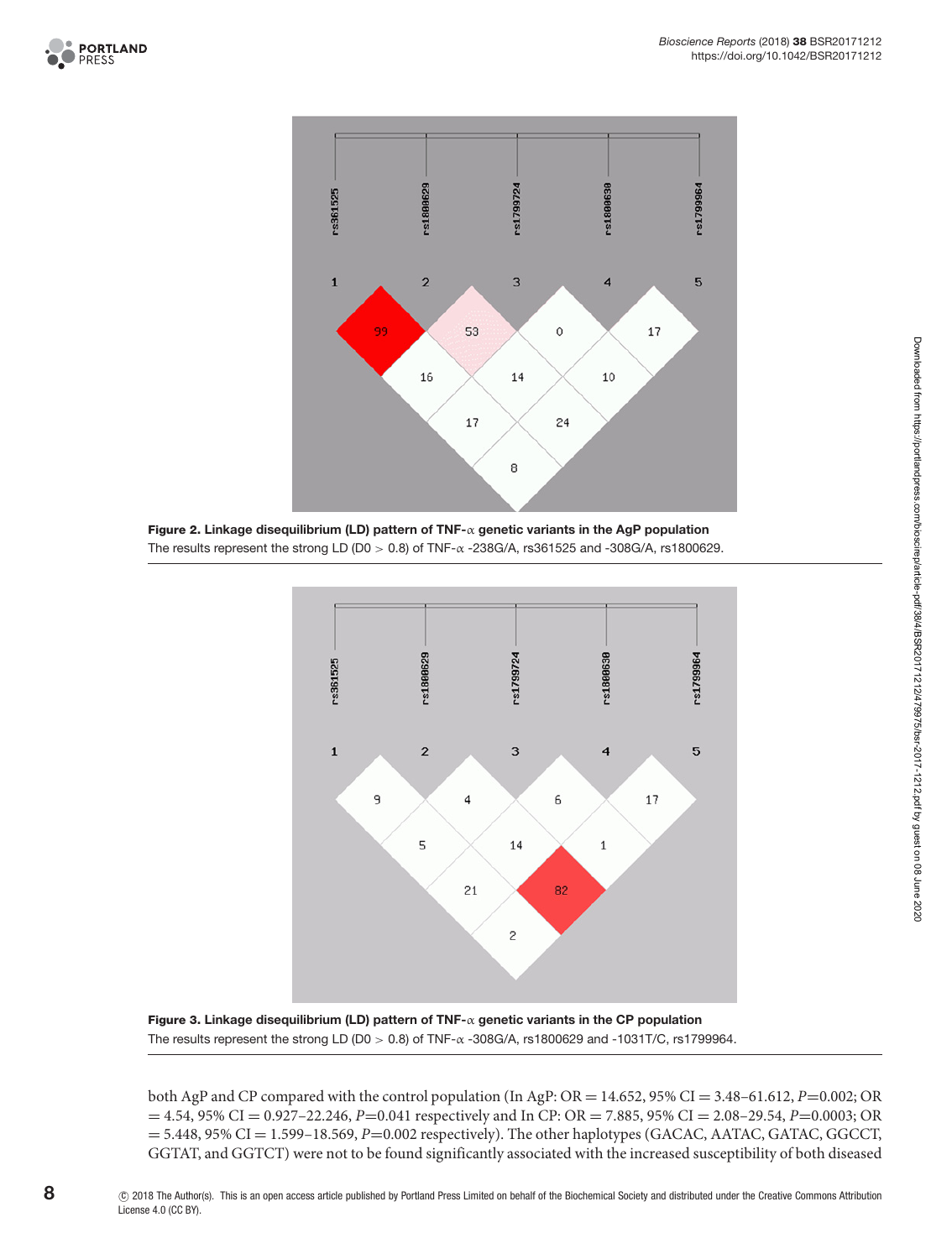



<span id="page-7-0"></span>**Figure 2. Linkage disequilibrium (LD) pattern of TNF-**α **genetic variants in the AgP population** The results represent the strong LD (D0  $> 0.8$ ) of TNF- $\alpha$  -238G/A, rs361525 and -308G/A, rs1800629.



<span id="page-7-1"></span>**Figure 3. Linkage disequilibrium (LD) pattern of TNF-**α **genetic variants in the CP population** The results represent the strong LD (D0  $>$  0.8) of TNF- $\alpha$  -308G/A, rs1800629 and -1031T/C, rs1799964.

both AgP and CP compared with the control population (In AgP: OR = 14.652, 95% CI = 3.48–61.612, *P*=0.002; OR = 4.54, 95% CI = 0.927–22.246, *P*=0.041 respectively and In CP: OR = 7.885, 95% CI = 2.08–29.54, *P*=0.0003; OR  $= 5.448, 95\% \text{ CI} = 1.599 - 18.569, P = 0.002$  respectively). The other haplotypes (GACAC, AATAC, GATAC, GGCCT, GGTAT, and GGTCT) were not to be found significantly associated with the increased susceptibility of both diseased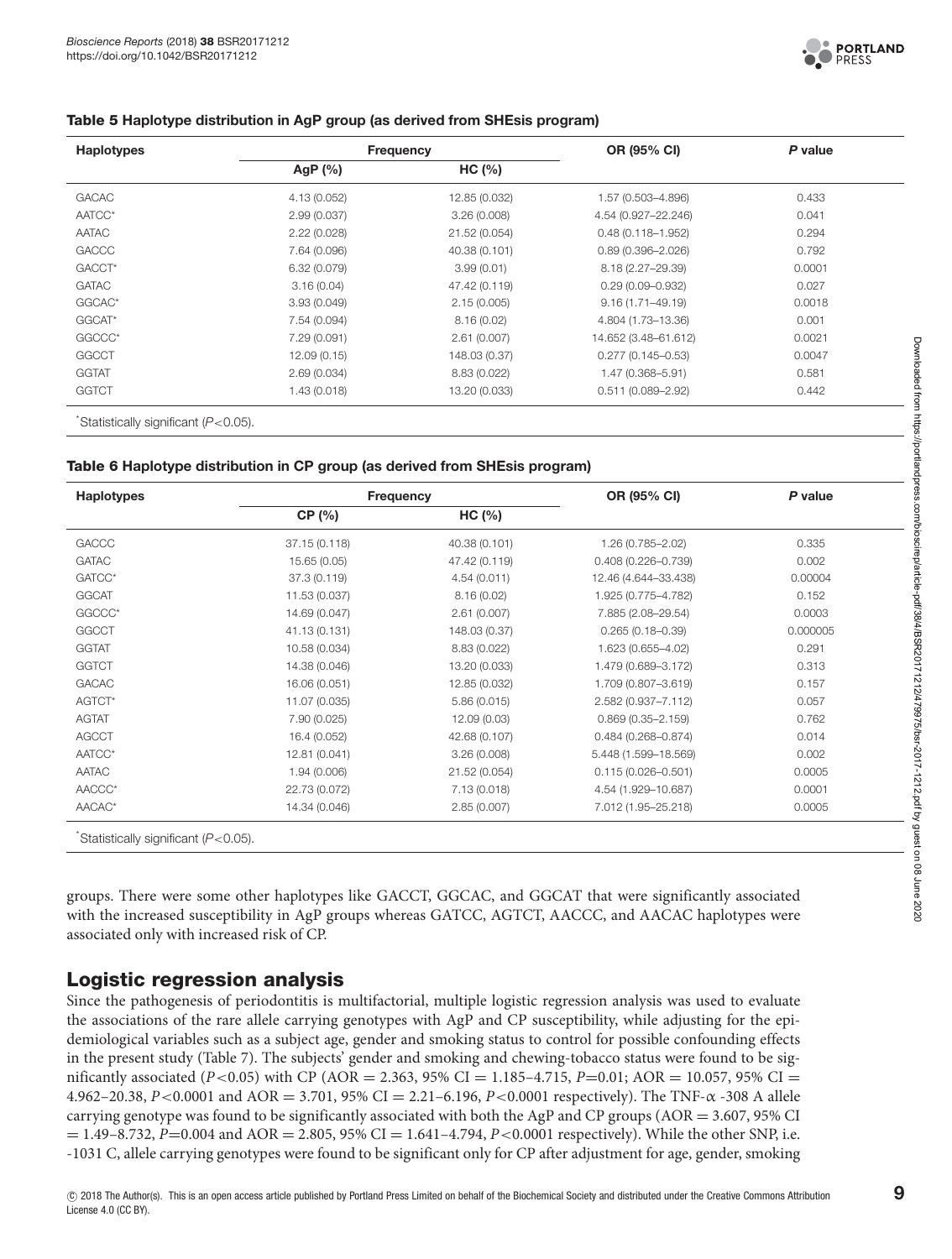

#### <span id="page-8-0"></span>**Table 5 Haplotype distribution in AgP group (as derived from SHEsis program)**

| <b>Haplotypes</b>  |              | Frequency     | OR (95% CI)           | P value |  |
|--------------------|--------------|---------------|-----------------------|---------|--|
|                    | AgP $(%)$    | HC (%)        |                       |         |  |
| <b>GACAC</b>       | 4.13 (0.052) | 12.85 (0.032) | 1.57 (0.503-4.896)    | 0.433   |  |
| AATCC*             | 2.99(0.037)  | 3.26(0.008)   | 4.54 (0.927-22.246)   | 0.041   |  |
| AATAC              | 2.22(0.028)  | 21.52 (0.054) | $0.48(0.118 - 1.952)$ | 0.294   |  |
| <b>GACCC</b>       | 7.64 (0.096) | 40.38 (0.101) | $0.89(0.396 - 2.026)$ | 0.792   |  |
| GACCT <sup>*</sup> | 6.32 (0.079) | 3.99(0.01)    | 8.18 (2.27-29.39)     | 0.0001  |  |
| <b>GATAC</b>       | 3.16(0.04)   | 47.42 (0.119) | $0.29(0.09 - 0.932)$  | 0.027   |  |
| GGCAC*             | 3.93(0.049)  | 2.15(0.005)   | $9.16(1.71 - 49.19)$  | 0.0018  |  |
| GGCAT*             | 7.54 (0.094) | 8.16(0.02)    | 4.804 (1.73–13.36)    | 0.001   |  |
| GGCCC*             | 7.29 (0.091) | 2.61(0.007)   | 14.652 (3.48-61.612)  | 0.0021  |  |
| <b>GGCCT</b>       | 12.09(0.15)  | 148.03 (0.37) | $0.277(0.145 - 0.53)$ | 0.0047  |  |
| <b>GGTAT</b>       | 2.69(0.034)  | 8.83 (0.022)  | 1.47 (0.368–5.91)     | 0.581   |  |
| <b>GGTCT</b>       | 1.43(0.018)  | 13.20 (0.033) | $0.511(0.089 - 2.92)$ | 0.442   |  |

\* Statistically significant (P<0.05).

#### <span id="page-8-1"></span>**Table 6 Haplotype distribution in CP group (as derived from SHEsis program)**

| <b>Haplotypes</b> |               | <b>Frequency</b> | OR (95% CI)            | P value  |  |
|-------------------|---------------|------------------|------------------------|----------|--|
|                   | CP (%)        | HC (%)           |                        |          |  |
| <b>GACCC</b>      | 37.15 (0.118) | 40.38 (0.101)    | 1.26 (0.785-2.02)      | 0.335    |  |
| <b>GATAC</b>      | 15.65 (0.05)  | 47.42 (0.119)    | $0.408(0.226 - 0.739)$ | 0.002    |  |
| GATCC*            | 37.3 (0.119)  | 4.54(0.011)      | 12.46 (4.644-33.438)   | 0.00004  |  |
| <b>GGCAT</b>      | 11.53 (0.037) | 8.16(0.02)       | 1.925 (0.775-4.782)    | 0.152    |  |
| GGCCC*            | 14.69 (0.047) | 2.61(0.007)      | 7.885 (2.08-29.54)     | 0.0003   |  |
| <b>GGCCT</b>      | 41.13 (0.131) | 148.03 (0.37)    | $0.265(0.18 - 0.39)$   | 0.000005 |  |
| <b>GGTAT</b>      | 10.58 (0.034) | 8.83 (0.022)     | 1.623 (0.655-4.02)     | 0.291    |  |
| <b>GGTCT</b>      | 14.38 (0.046) | 13.20 (0.033)    | 1.479 (0.689-3.172)    | 0.313    |  |
| <b>GACAC</b>      | 16.06 (0.051) | 12.85 (0.032)    | 1.709 (0.807-3.619)    | 0.157    |  |
| AGTCT*            | 11.07 (0.035) | 5.86(0.015)      | 2.582 (0.937-7.112)    | 0.057    |  |
| <b>AGTAT</b>      | 7.90 (0.025)  | 12.09 (0.03)     | $0.869(0.35 - 2.159)$  | 0.762    |  |
| <b>AGCCT</b>      | 16.4 (0.052)  | 42.68 (0.107)    | $0.484(0.268 - 0.874)$ | 0.014    |  |
| AATCC*            | 12.81 (0.041) | 3.26(0.008)      | 5.448 (1.599-18.569)   | 0.002    |  |
| <b>AATAC</b>      | 1.94 (0.006)  | 21.52 (0.054)    | $0.115(0.026 - 0.501)$ | 0.0005   |  |
| AACCC*            | 22.73 (0.072) | 7.13(0.018)      | 4.54 (1.929-10.687)    | 0.0001   |  |
| AACAC*            | 14.34 (0.046) | 2.85(0.007)      | 7.012 (1.95-25.218)    | 0.0005   |  |

groups. There were some other haplotypes like GACCT, GGCAC, and GGCAT that were significantly associated with the increased susceptibility in AgP groups whereas GATCC, AGTCT, AACCC, and AACAC haplotypes were associated only with increased risk of CP.

# **Logistic regression analysis**

Since the pathogenesis of periodontitis is multifactorial, multiple logistic regression analysis was used to evaluate the associations of the rare allele carrying genotypes with AgP and CP susceptibility, while adjusting for the epidemiological variables such as a subject age, gender and smoking status to control for possible confounding effects in the present study [\(Table](#page-9-0) 7). The subjects' gender and smoking and chewing-tobacco status were found to be significantly associated (*P*<0.05) with CP ( $AOR = 2.363$ , 95% CI = 1.185–4.715, *P*=0.01;  $AOR = 10.057$ , 95% CI = 4.962–20.38, *P*<0.0001 and AOR = 3.701, 95% CI = 2.21–6.196, *P*<0.0001 respectively). The TNF-α -308 A allele carrying genotype was found to be significantly associated with both the AgP and CP groups ( $AOR = 3.607$ , 95% CI  $= 1.49 - 8.732$ , *P*=0.004 and AOR = 2.805, 95% CI = 1.641–4.794, *P*<0.0001 respectively). While the other SNP, i.e. -1031 C, allele carrying genotypes were found to be significant only for CP after adjustment for age, gender, smoking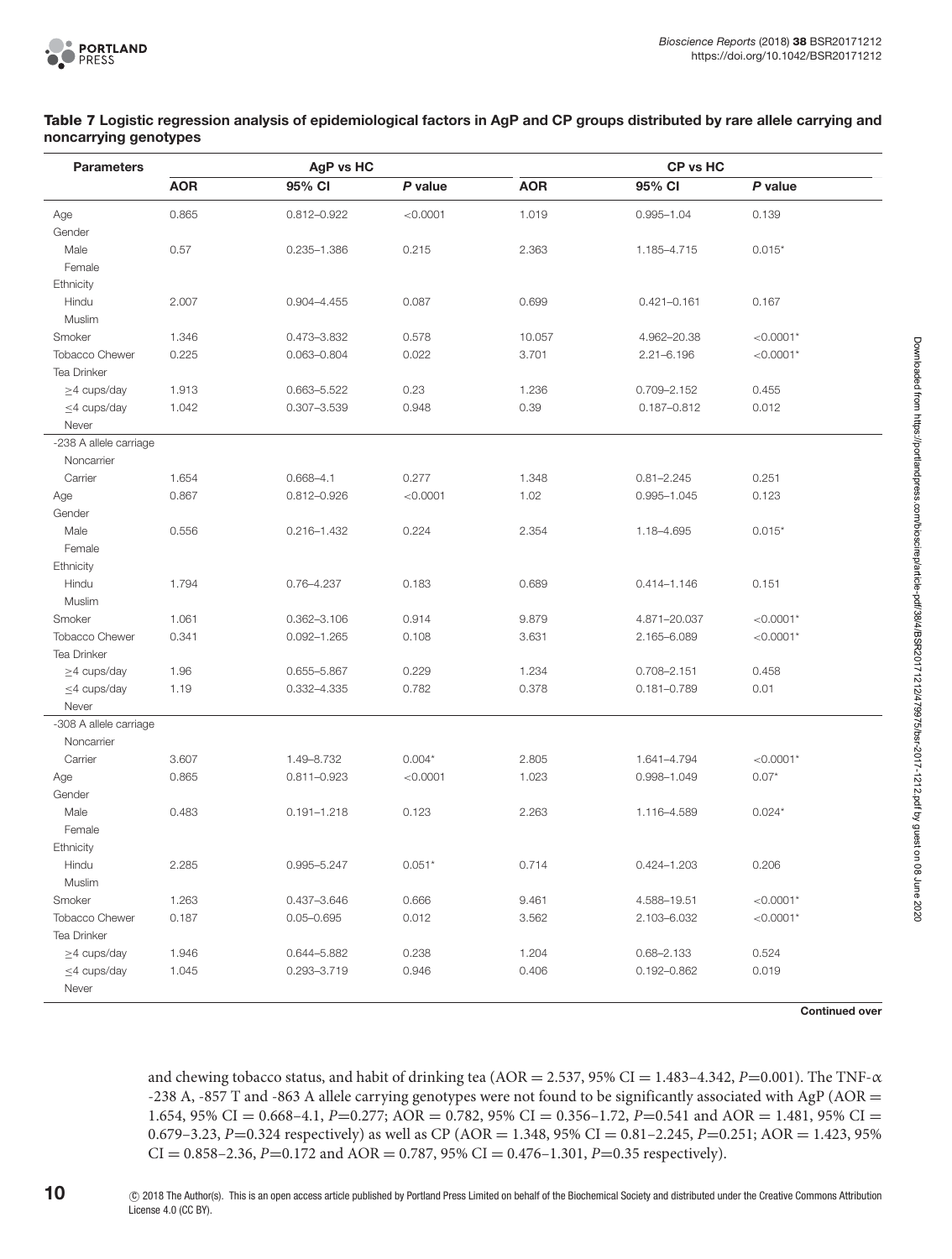#### <span id="page-9-0"></span>**Table 7 Logistic regression analysis of epidemiological factors in AgP and CP groups distributed by rare allele carrying and noncarrying genotypes**

| <b>Parameters</b>      | AgP vs HC  |                 |          | <b>CP vs HC</b> |                 |             |  |
|------------------------|------------|-----------------|----------|-----------------|-----------------|-------------|--|
|                        | <b>AOR</b> | 95% CI          | P value  | <b>AOR</b>      | 95% CI          | P value     |  |
| Age                    | 0.865      | $0.812 - 0.922$ | < 0.0001 | 1.019           | $0.995 - 1.04$  | 0.139       |  |
| Gender                 |            |                 |          |                 |                 |             |  |
| Male                   | 0.57       | $0.235 - 1.386$ | 0.215    | 2.363           | 1.185-4.715     | $0.015*$    |  |
| Female                 |            |                 |          |                 |                 |             |  |
| Ethnicity              |            |                 |          |                 |                 |             |  |
| Hindu                  | 2.007      | $0.904 - 4.455$ | 0.087    | 0.699           | $0.421 - 0.161$ | 0.167       |  |
| Muslim                 |            |                 |          |                 |                 |             |  |
| Smoker                 | 1.346      | 0.473-3.832     | 0.578    | 10.057          | 4.962-20.38     | $< 0.0001*$ |  |
| <b>Tobacco Chewer</b>  | 0.225      | 0.063-0.804     | 0.022    | 3.701           | $2.21 - 6.196$  | $< 0.0001*$ |  |
| Tea Drinker            |            |                 |          |                 |                 |             |  |
| $\geq$ 4 cups/day      | 1.913      | 0.663-5.522     | 0.23     | 1.236           | 0.709-2.152     | 0.455       |  |
| $\leq$ 4 cups/day      | 1.042      | $0.307 - 3.539$ | 0.948    | 0.39            | $0.187 - 0.812$ | 0.012       |  |
| Never                  |            |                 |          |                 |                 |             |  |
| -238 A allele carriage |            |                 |          |                 |                 |             |  |
| Noncarrier             |            |                 |          |                 |                 |             |  |
| Carrier                | 1.654      | $0.668 - 4.1$   | 0.277    | 1.348           | $0.81 - 2.245$  | 0.251       |  |
| Age                    | 0.867      | 0.812-0.926     | < 0.0001 | 1.02            | $0.995 - 1.045$ | 0.123       |  |
| Gender                 |            |                 |          |                 |                 |             |  |
| Male                   | 0.556      | $0.216 - 1.432$ | 0.224    | 2.354           | 1.18-4.695      | $0.015*$    |  |
| Female                 |            |                 |          |                 |                 |             |  |
| Ethnicity              |            |                 |          |                 |                 |             |  |
| Hindu                  | 1.794      | 0.76-4.237      | 0.183    | 0.689           | $0.414 - 1.146$ | 0.151       |  |
| Muslim                 |            |                 |          |                 |                 |             |  |
| Smoker                 | 1.061      | 0.362-3.106     | 0.914    | 9.879           | 4.871-20.037    | $< 0.0001*$ |  |
| <b>Tobacco Chewer</b>  | 0.341      | $0.092 - 1.265$ | 0.108    | 3.631           | 2.165-6.089     | $< 0.0001*$ |  |
| Tea Drinker            |            |                 |          |                 |                 |             |  |
| $\geq$ 4 cups/day      | 1.96       | 0.655-5.867     | 0.229    | 1.234           | $0.708 - 2.151$ | 0.458       |  |
| $\leq$ 4 cups/day      | 1.19       | 0.332-4.335     | 0.782    | 0.378           | $0.181 - 0.789$ | 0.01        |  |
| Never                  |            |                 |          |                 |                 |             |  |
| -308 A allele carriage |            |                 |          |                 |                 |             |  |
| Noncarrier             |            |                 |          |                 |                 |             |  |
| Carrier                | 3.607      | 1.49-8.732      | $0.004*$ | 2.805           | 1.641-4.794     | $< 0.0001*$ |  |
| Age                    | 0.865      | $0.811 - 0.923$ | < 0.0001 | 1.023           | 0.998-1.049     | $0.07*$     |  |
| Gender                 |            |                 |          |                 |                 |             |  |
| Male                   | 0.483      | $0.191 - 1.218$ | 0.123    | 2.263           | 1.116-4.589     | $0.024*$    |  |
| Female                 |            |                 |          |                 |                 |             |  |
| Ethnicity              |            |                 |          |                 |                 |             |  |
| Hindu                  | 2.285      | 0.995-5.247     | $0.051*$ | 0.714           | $0.424 - 1.203$ | 0.206       |  |
| Muslim                 |            |                 |          |                 |                 |             |  |
| Smoker                 | 1.263      | 0.437-3.646     | 0.666    | 9.461           | 4.588-19.51     | $< 0.0001*$ |  |
| Tobacco Chewer         | 0.187      | $0.05 - 0.695$  | 0.012    | 3.562           | 2.103-6.032     | $< 0.0001*$ |  |
| Tea Drinker            |            |                 |          |                 |                 |             |  |
| $\geq$ 4 cups/day      | 1.946      | 0.644-5.882     | 0.238    | 1.204           | $0.68 - 2.133$  | 0.524       |  |
| $\leq$ 4 cups/day      | 1.045      | 0.293-3.719     | 0.946    | 0.406           | $0.192 - 0.862$ | 0.019       |  |
| Never                  |            |                 |          |                 |                 |             |  |

**Continued over**

and chewing tobacco status, and habit of drinking tea (AOR = 2.537, 95% CI = 1.483-4.342, *P*=0.001). The TNF- $\alpha$ -238 A, -857 T and -863 A allele carrying genotypes were not found to be significantly associated with AgP (AOR = 1.654, 95% CI = 0.668–4.1, *P*=0.277; AOR = 0.782, 95% CI = 0.356–1.72, *P*=0.541 and AOR = 1.481, 95% CI = 0.679–3.23, *P*=0.324 respectively) as well as CP (AOR = 1.348, 95% CI = 0.81–2.245, *P*=0.251; AOR = 1.423, 95%  $CI = 0.858 - 2.36$ ,  $P = 0.172$  and  $AOR = 0.787$ , 95%  $CI = 0.476 - 1.301$ ,  $P = 0.35$  respectively).

**10** -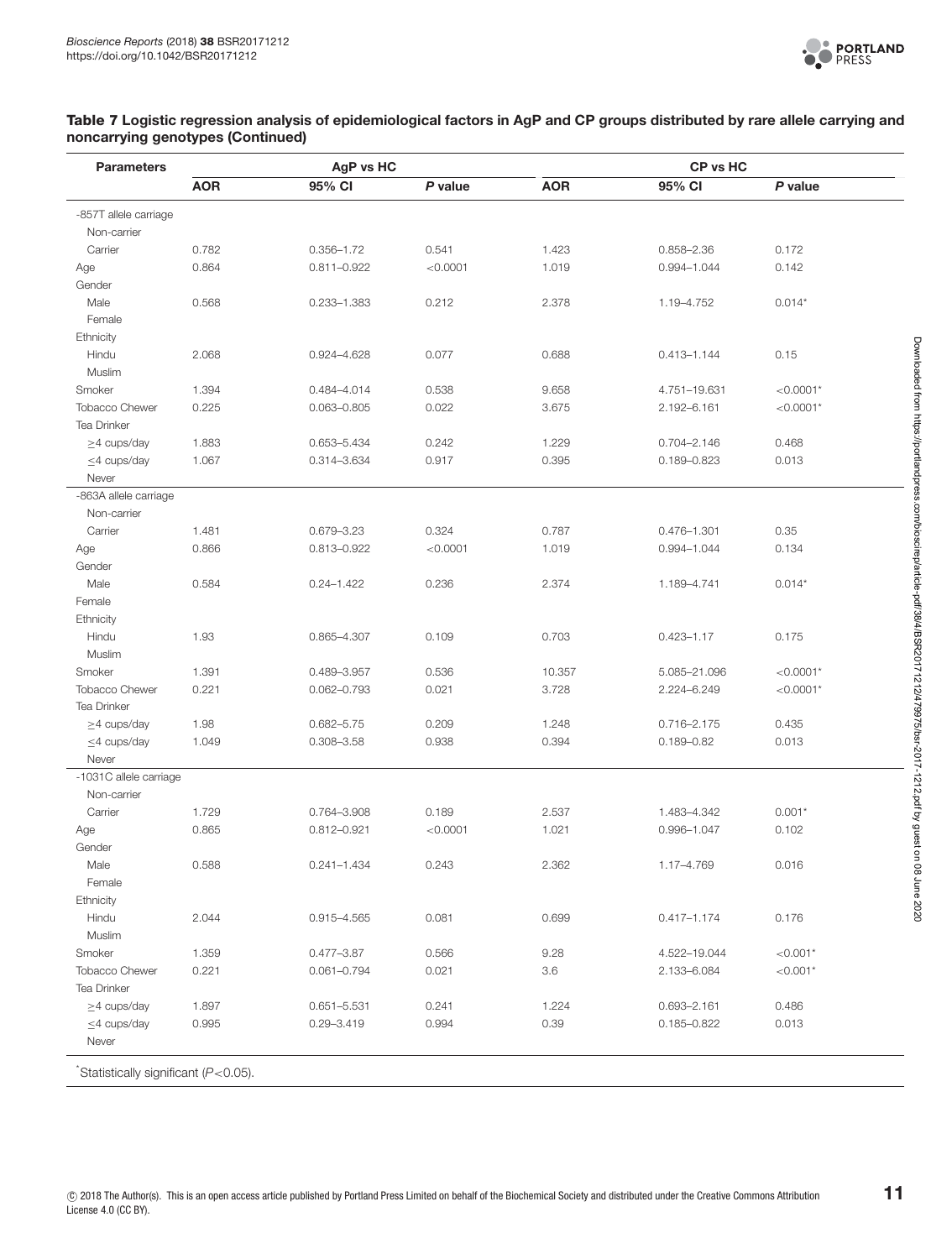

#### **Table 7 Logistic regression analysis of epidemiological factors in AgP and CP groups distributed by rare allele carrying and noncarrying genotypes (Continued)**

| <b>Parameters</b>                   |            | AgP vs HC       |           | CP vs HC   |                 |             |  |
|-------------------------------------|------------|-----------------|-----------|------------|-----------------|-------------|--|
|                                     | <b>AOR</b> | 95% CI          | $P$ value | <b>AOR</b> | 95% CI          | P value     |  |
| -857T allele carriage               |            |                 |           |            |                 |             |  |
| Non-carrier                         |            |                 |           |            |                 |             |  |
| Carrier                             | 0.782      | $0.356 - 1.72$  | 0.541     | 1.423      | $0.858 - 2.36$  | 0.172       |  |
| Age                                 | 0.864      | 0.811-0.922     | < 0.0001  | 1.019      | $0.994 - 1.044$ | 0.142       |  |
| Gender                              |            |                 |           |            |                 |             |  |
| Male                                | 0.568      | 0.233-1.383     | 0.212     | 2.378      | 1.19-4.752      | $0.014*$    |  |
| Female                              |            |                 |           |            |                 |             |  |
| Ethnicity                           |            |                 |           |            |                 |             |  |
| Hindu                               | 2.068      | 0.924-4.628     | 0.077     | 0.688      | $0.413 - 1.144$ | 0.15        |  |
| Muslim                              |            |                 |           |            |                 |             |  |
| Smoker                              | 1.394      | 0.484-4.014     | 0.538     | 9.658      | 4.751-19.631    | $< 0.0001*$ |  |
| <b>Tobacco Chewer</b>               | 0.225      | $0.063 - 0.805$ | 0.022     | 3.675      | 2.192-6.161     | $< 0.0001*$ |  |
| Tea Drinker                         |            |                 |           |            |                 |             |  |
| $\geq$ 4 cups/day                   | 1.883      | 0.653-5.434     | 0.242     | 1.229      | $0.704 - 2.146$ | 0.468       |  |
| $\leq$ 4 cups/day                   | 1.067      | 0.314-3.634     | 0.917     | 0.395      | 0.189-0.823     | 0.013       |  |
| Never                               |            |                 |           |            |                 |             |  |
| -863A allele carriage               |            |                 |           |            |                 |             |  |
| Non-carrier                         |            |                 |           |            |                 |             |  |
| Carrier                             | 1.481      | 0.679-3.23      | 0.324     | 0.787      | 0.476-1.301     | 0.35        |  |
| Age                                 | 0.866      | 0.813-0.922     | < 0.0001  | 1.019      | 0.994-1.044     | 0.134       |  |
| Gender                              |            |                 |           |            |                 |             |  |
| Male                                | 0.584      | $0.24 - 1.422$  | 0.236     | 2.374      | 1.189-4.741     | $0.014*$    |  |
| Female                              |            |                 |           |            |                 |             |  |
| Ethnicity                           |            |                 |           |            |                 |             |  |
| Hindu                               | 1.93       | 0.865-4.307     | 0.109     | 0.703      | $0.423 - 1.17$  | 0.175       |  |
| Muslim                              |            |                 |           |            |                 |             |  |
| Smoker                              | 1.391      | 0.489-3.957     | 0.536     | 10.357     | 5.085-21.096    | $< 0.0001*$ |  |
| <b>Tobacco Chewer</b>               | 0.221      | $0.062 - 0.793$ | 0.021     | 3.728      | 2.224-6.249     | $< 0.0001*$ |  |
| Tea Drinker                         |            |                 |           |            |                 |             |  |
| $\geq$ 4 cups/day                   | 1.98       | $0.682 - 5.75$  | 0.209     | 1.248      | 0.716-2.175     | 0.435       |  |
| $\leq$ 4 cups/day                   | 1.049      | 0.308-3.58      | 0.938     | 0.394      | $0.189 - 0.82$  | 0.013       |  |
| Never                               |            |                 |           |            |                 |             |  |
| -1031C allele carriage              |            |                 |           |            |                 |             |  |
| Non-carrier                         |            |                 |           |            |                 |             |  |
| Carrier                             | 1.729      | 0.764-3.908     | 0.189     | 2.537      | 1.483-4.342     | $0.001*$    |  |
|                                     | 0.865      | 0.812-0.921     | < 0.0001  | 1.021      | 0.996-1.047     | 0.102       |  |
| Age<br>Gender                       |            |                 |           |            |                 |             |  |
| Male                                |            |                 | 0.243     | 2.362      |                 | 0.016       |  |
|                                     | 0.588      | 0.241-1.434     |           |            | 1.17-4.769      |             |  |
| Female                              |            |                 |           |            |                 |             |  |
| <b>Ethnicity</b>                    |            |                 |           |            |                 |             |  |
| Hindu                               | 2.044      | 0.915-4.565     | 0.081     | 0.699      | $0.417 - 1.174$ | 0.176       |  |
| Muslim                              |            |                 |           |            |                 |             |  |
| Smoker                              | 1.359      | 0.477-3.87      | 0.566     | 9.28       | 4.522-19.044    | $< 0.001*$  |  |
| <b>Tobacco Chewer</b>               | 0.221      | $0.061 - 0.794$ | 0.021     | 3.6        | 2.133-6.084     | $< 0.001*$  |  |
| Tea Drinker                         |            |                 |           |            |                 |             |  |
| $\geq$ 4 cups/day                   | 1.897      | 0.651-5.531     | 0.241     | 1.224      | 0.693-2.161     | 0.486       |  |
| $\leq$ 4 cups/day                   | 0.995      | $0.29 - 3.419$  | 0.994     | 0.39       | $0.185 - 0.822$ | 0.013       |  |
| Never                               |            |                 |           |            |                 |             |  |
| Statistically significant (P<0.05). |            |                 |           |            |                 |             |  |

Downloaded from https://portlandpress.com/bioscirep/article-pdf/38/4/BSR20171212/479975/bsr-2017-1212.pdf by guest on 08 June 2020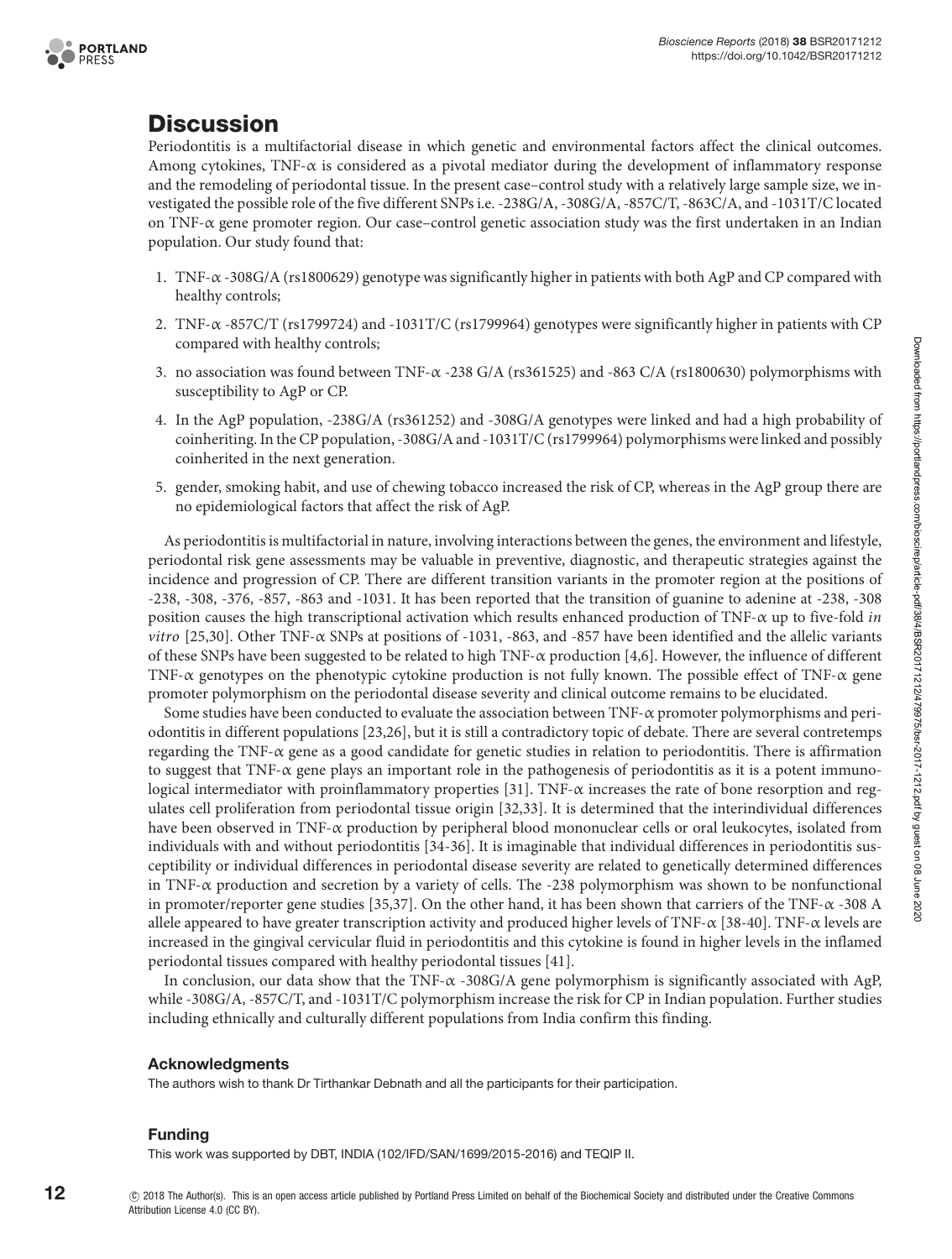



# **Discussion**

Periodontitis is a multifactorial disease in which genetic and environmental factors affect the clinical outcomes. Among cytokines, TNF- $\alpha$  is considered as a pivotal mediator during the development of inflammatory response and the remodeling of periodontal tissue. In the present case–control study with a relatively large sample size, we investigated the possible role of the five different SNPs i.e. -238G/A, -308G/A, -857C/T, -863C/A, and -1031T/C located on TNF-α gene promoter region. Our case–control genetic association study was the first undertaken in an Indian population. Our study found that:

- 1. TNF-α -308G/A (rs1800629) genotype was significantly higher in patients with both AgP and CP compared with healthy controls;
- 2. TNF-α -857C/T (rs1799724) and -1031T/C (rs1799964) genotypes were significantly higher in patients with CP compared with healthy controls;
- 3. no association was found between TNF-α -238 G/A (rs361525) and -863 C/A (rs1800630) polymorphisms with susceptibility to AgP or CP.
- 4. In the AgP population, -238G/A (rs361252) and -308G/A genotypes were linked and had a high probability of coinheriting.In theCP population,-308G/A and -1031T/C(rs1799964) polymorphisms were linked and possibly coinherited in the next generation.
- 5. gender, smoking habit, and use of chewing tobacco increased the risk of CP, whereas in the AgP group there are no epidemiological factors that affect the risk of AgP.

As periodontitis is multifactorial in nature, involving interactions between the genes, the environment and lifestyle, periodontal risk gene assessments may be valuable in preventive, diagnostic, and therapeutic strategies against the incidence and progression of CP. There are different transition variants in the promoter region at the positions of -238, -308, -376, -857, -863 and -1031. It has been reported that the transition of guanine to adenine at -238, -308 position causes the high transcriptional activation which results enhanced production of TNF-α up to five-fold *in vitro* [\[25](#page-13-5)[,30\]](#page-13-6). Other TNF-α SNPs at positions of -1031, -863, and -857 have been identified and the allelic variants of these SNPs have been suggested to be related to high TNF- $\alpha$  production [\[4](#page-12-3)[,6\]](#page-12-5). However, the influence of different TNF-α genotypes on the phenotypic cytokine production is not fully known. The possible effect of TNF-α gene promoter polymorphism on the periodontal disease severity and clinical outcome remains to be elucidated.

Some studies have been conducted to evaluate the association between TNF- $\alpha$  promoter polymorphisms and periodontitis in different populations [\[23,](#page-13-0)[26\]](#page-13-1), but it is still a contradictory topic of debate. There are several contretemps regarding the TNF- $\alpha$  gene as a good candidate for genetic studies in relation to periodontitis. There is affirmation to suggest that  $TNF-\alpha$  gene plays an important role in the pathogenesis of periodontitis as it is a potent immunological intermediator with proinflammatory properties [\[31\]](#page-13-7). TNF-α increases the rate of bone resorption and regulates cell proliferation from periodontal tissue origin [\[32](#page-13-8)[,33\]](#page-13-9). It is determined that the interindividual differences have been observed in TNF-α production by peripheral blood mononuclear cells or oral leukocytes, isolated from individuals with and without periodontitis [\[34-36\]](#page-13-10). It is imaginable that individual differences in periodontitis susceptibility or individual differences in periodontal disease severity are related to genetically determined differences in TNF-α production and secretion by a variety of cells. The -238 polymorphism was shown to be nonfunctional in promoter/reporter gene studies [\[35,](#page-13-11)[37\]](#page-13-12). On the other hand, it has been shown that carriers of the TNF-α -308 A allele appeared to have greater transcription activity and produced higher levels of TNF-α [\[38-40\]](#page-13-13). TNF-α levels are increased in the gingival cervicular fluid in periodontitis and this cytokine is found in higher levels in the inflamed periodontal tissues compared with healthy periodontal tissues [\[41\]](#page-13-14).

In conclusion, our data show that the TNF- $\alpha$  -308G/A gene polymorphism is significantly associated with AgP, while -308G/A, -857C/T, and -1031T/C polymorphism increase the risk for CP in Indian population. Further studies including ethnically and culturally different populations from India confirm this finding.

#### **Acknowledgments**

The authors wish to thank Dr Tirthankar Debnath and all the participants for their participation.

#### **Funding**

This work was supported by DBT, INDIA (102/IFD/SAN/1699/2015-2016) and TEQIP II.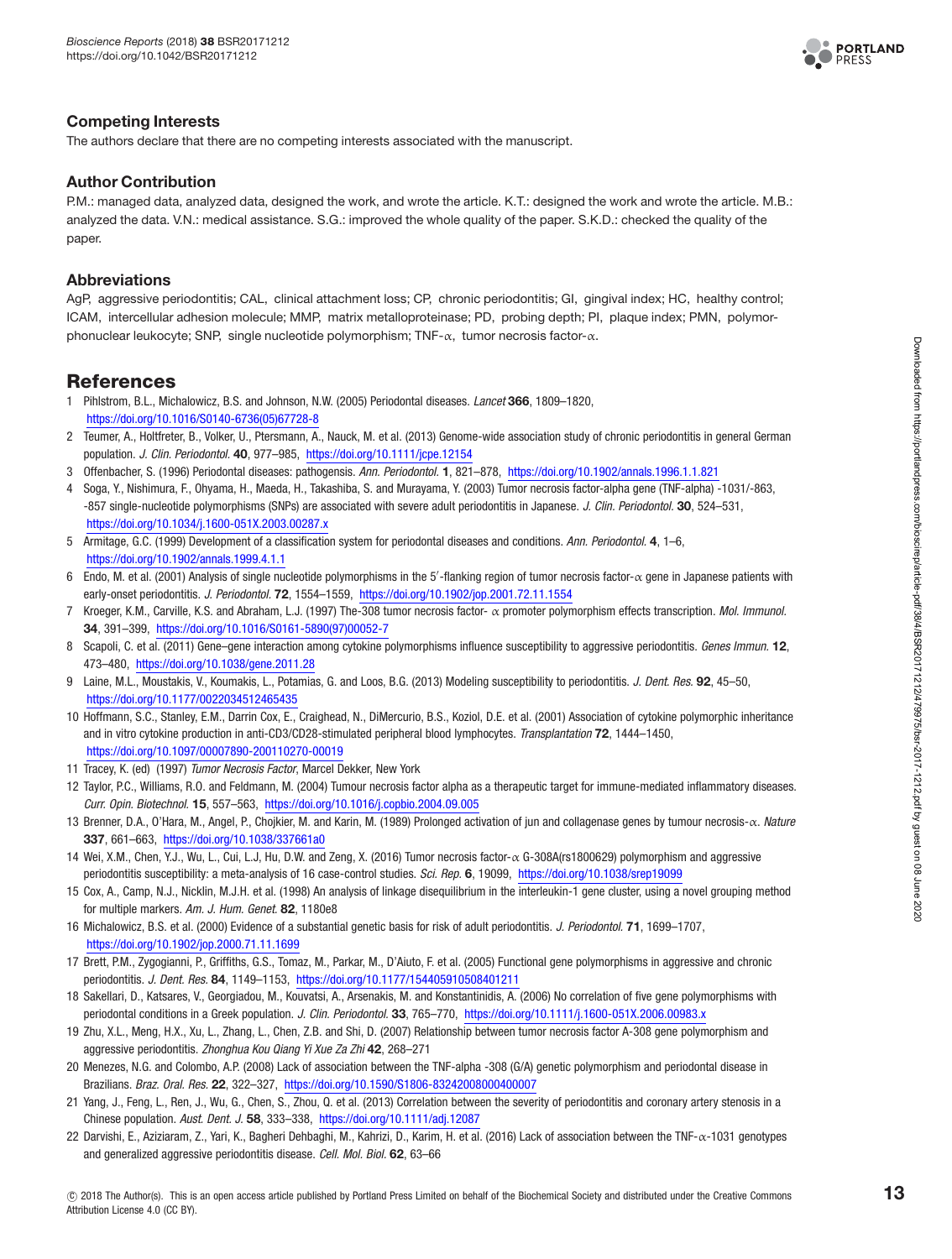

# **Competing Interests**

The authors declare that there are no competing interests associated with the manuscript.

# **Author Contribution**

P.M.: managed data, analyzed data, designed the work, and wrote the article. K.T.: designed the work and wrote the article. M.B.: analyzed the data. V.N.: medical assistance. S.G.: improved the whole quality of the paper. S.K.D.: checked the quality of the paper.

# **Abbreviations**

AgP, aggressive periodontitis; CAL, clinical attachment loss; CP, chronic periodontitis; GI, gingival index; HC, healthy control; ICAM, intercellular adhesion molecule; MMP, matrix metalloproteinase; PD, probing depth; PI, plaque index; PMN, polymorphonuclear leukocyte; SNP, single nucleotide polymorphism; TNF-α, tumor necrosis factor-α.

# **References**

- <span id="page-12-0"></span>1 Pihlstrom, B.L., Michalowicz, B.S. and Johnson, N.W. (2005) Periodontal diseases. Lancet **366**, 1809–1820, [https://doi.org/10.1016/S0140-6736\(05\)67728-8](https://doi.org/10.1016/S0140-6736(05)67728-8)
- <span id="page-12-1"></span>2 Teumer, A., Holtfreter, B., Volker, U., Ptersmann, A., Nauck, M. et al. (2013) Genome-wide association study of chronic periodontitis in general German population. J. Clin. Periodontol. **40**, 977–985, <https://doi.org/10.1111/jcpe.12154>
- <span id="page-12-2"></span>3 Offenbacher, S. (1996) Periodontal diseases: pathogensis. Ann. Periodontol. **1**, 821–878, <https://doi.org/10.1902/annals.1996.1.1.821>
- <span id="page-12-3"></span>4 Soga, Y., Nishimura, F., Ohyama, H., Maeda, H., Takashiba, S. and Murayama, Y. (2003) Tumor necrosis factor-alpha gene (TNF-alpha) -1031/-863, -857 single-nucleotide polymorphisms (SNPs) are associated with severe adult periodontitis in Japanese. J. Clin. Periodontol. **30**, 524–531, <https://doi.org/10.1034/j.1600-051X.2003.00287.x>
- <span id="page-12-4"></span>5 Armitage, G.C. (1999) Development of a classification system for periodontal diseases and conditions. Ann. Periodontol. **4**, 1–6, <https://doi.org/10.1902/annals.1999.4.1.1>
- <span id="page-12-5"></span>6  $\,$  Endo, M. et al. (2001) Analysis of single nucleotide polymorphisms in the 5/-flanking region of tumor necrosis factor- $\alpha$  gene in Japanese patients with early-onset periodontitis. J. Periodontol. **72**, 1554–1559, <https://doi.org/10.1902/jop.2001.72.11.1554>
- <span id="page-12-6"></span>7 Kroeger, K.M., Carville, K.S. and Abraham, L.J. (1997) The-308 tumor necrosis factor- α promoter polymorphism effects transcription. Mol. Immunol. **34**, 391–399, [https://doi.org/10.1016/S0161-5890\(97\)00052-7](https://doi.org/10.1016/S0161-5890(97)00052-7)
- <span id="page-12-7"></span>8 Scapoli, C. et al. (2011) Gene–gene interaction among cytokine polymorphisms influence susceptibility to aggressive periodontitis. Genes Immun. **12**, 473–480, <https://doi.org/10.1038/gene.2011.28>
- <span id="page-12-8"></span>9 Laine, M.L., Moustakis, V., Koumakis, L., Potamias, G. and Loos, B.G. (2013) Modeling susceptibility to periodontitis. J. Dent. Res. **92**, 45–50, <https://doi.org/10.1177/0022034512465435>
- <span id="page-12-9"></span>10 Hoffmann, S.C., Stanley, E.M., Darrin Cox, E., Craighead, N., DiMercurio, B.S., Koziol, D.E. et al. (2001) Association of cytokine polymorphic inheritance and in vitro cytokine production in anti-CD3/CD28-stimulated peripheral blood lymphocytes. Transplantation **72**, 1444–1450, <https://doi.org/10.1097/00007890-200110270-00019>
- <span id="page-12-10"></span>11 Tracey, K. (ed) (1997) Tumor Necrosis Factor, Marcel Dekker, New York
- <span id="page-12-11"></span>12 Taylor, P.C., Williams, R.O. and Feldmann, M. (2004) Tumour necrosis factor alpha as a therapeutic target for immune-mediated inflammatory diseases. Curr. Opin. Biotechnol. **15**, 557–563, <https://doi.org/10.1016/j.copbio.2004.09.005>
- <span id="page-12-12"></span>13 Brenner, D.A., O'Hara, M., Angel, P., Chojkier, M. and Karin, M. (1989) Prolonged activation of jun and collagenase genes by tumour necrosis-α. Nature **337**, 661–663, <https://doi.org/10.1038/337661a0>
- <span id="page-12-13"></span>14 Wei, X.M., Chen, Y.J., Wu, L., Cui, L.J, Hu, D.W. and Zeng, X. (2016) Tumor necrosis factor-α G-308A(rs1800629) polymorphism and aggressive periodontitis susceptibility: a meta-analysis of 16 case-control studies. Sci. Rep. **6**, 19099, <https://doi.org/10.1038/srep19099>
- <span id="page-12-14"></span>15 Cox, A., Camp, N.J., Nicklin, M.J.H. et al. (1998) An analysis of linkage disequilibrium in the interleukin-1 gene cluster, using a novel grouping method for multiple markers. Am. J. Hum. Genet. **82**, 1180e8
- <span id="page-12-15"></span>16 Michalowicz, B.S. et al. (2000) Evidence of a substantial genetic basis for risk of adult periodontitis. J. Periodontol. **71**, 1699–1707, <https://doi.org/10.1902/jop.2000.71.11.1699>
- <span id="page-12-16"></span>17 Brett, P.M., Zygogianni, P., Griffiths, G.S., Tomaz, M., Parkar, M., D'Aiuto, F. et al. (2005) Functional gene polymorphisms in aggressive and chronic periodontitis. J. Dent. Res. **84**, 1149–1153, <https://doi.org/10.1177/154405910508401211>
- 18 Sakellari, D., Katsares, V., Georgiadou, M., Kouvatsi, A., Arsenakis, M. and Konstantinidis, A. (2006) No correlation of five gene polymorphisms with periodontal conditions in a Greek population. J. Clin. Periodontol. **33**, 765–770, <https://doi.org/10.1111/j.1600-051X.2006.00983.x>
- 19 Zhu, X.L., Meng, H.X., Xu, L., Zhang, L., Chen, Z.B. and Shi, D. (2007) Relationship between tumor necrosis factor A-308 gene polymorphism and aggressive periodontitis. Zhonghua Kou Qiang Yi Xue Za Zhi **42**, 268–271
- 20 Menezes, N.G. and Colombo, A.P. (2008) Lack of association between the TNF-alpha -308 (G/A) genetic polymorphism and periodontal disease in Brazilians. Braz. Oral. Res. **22**, 322–327, <https://doi.org/10.1590/S1806-83242008000400007>
- <span id="page-12-17"></span>21 Yang, J., Feng, L., Ren, J., Wu, G., Chen, S., Zhou, Q. et al. (2013) Correlation between the severity of periodontitis and coronary artery stenosis in a Chinese population. Aust. Dent. J. **58**, 333–338, <https://doi.org/10.1111/adj.12087>
- <span id="page-12-18"></span>22 Darvishi, E., Aziziaram, Z., Yari, K., Bagheri Dehbaghi, M., Kahrizi, D., Karim, H. et al. (2016) Lack of association between the TNF-α-1031 genotypes and generalized aggressive periodontitis disease. Cell. Mol. Biol. **62**, 63–66